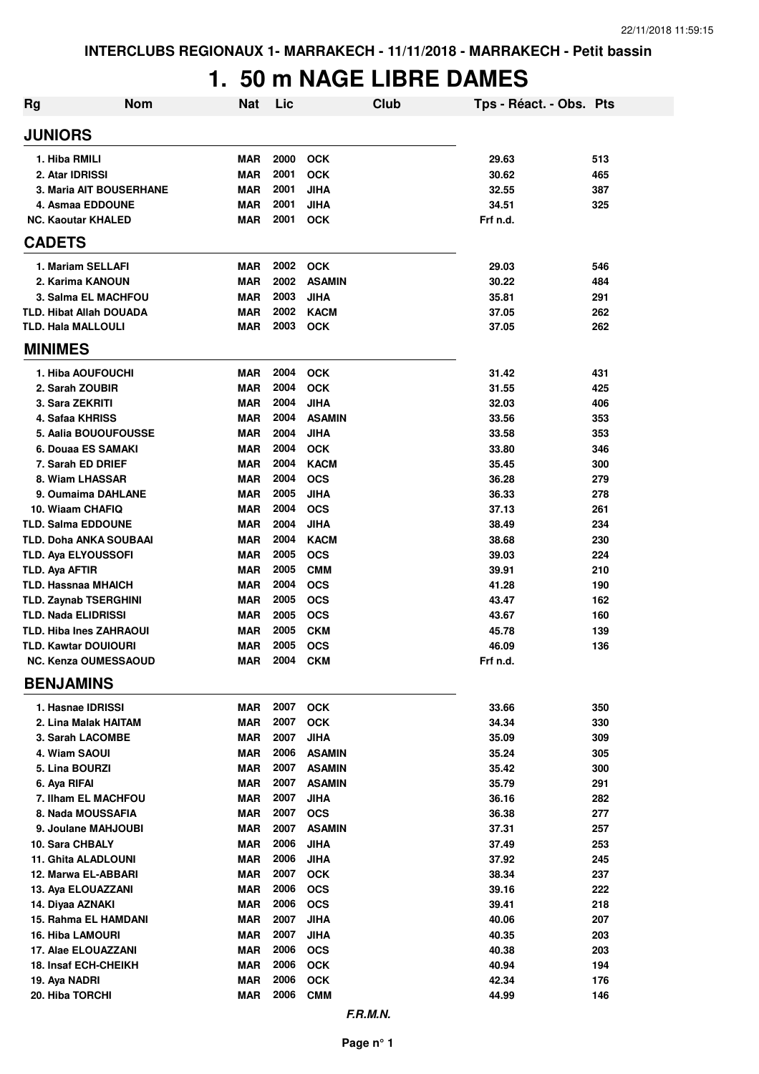## **1. 50 m NAGE LIBRE DAMES**

| <b>Rg</b>      | <b>Nom</b>                                                 | <b>Nat</b>               | Lic          | <b>Club</b>              | Tps - Réact. - Obs. Pts |            |
|----------------|------------------------------------------------------------|--------------------------|--------------|--------------------------|-------------------------|------------|
| <b>JUNIORS</b> |                                                            |                          |              |                          |                         |            |
|                | 1. Hiba RMILI                                              | <b>MAR</b>               | 2000         | <b>OCK</b>               | 29.63                   | 513        |
|                | 2. Atar IDRISSI                                            | <b>MAR</b>               | 2001         | <b>OCK</b>               | 30.62                   | 465        |
|                | <b>3. Maria AIT BOUSERHANE</b>                             | <b>MAR</b>               | 2001         | <b>JIHA</b>              | 32.55                   | 387        |
|                | 4. Asmaa EDDOUNE                                           | <b>MAR</b>               | 2001         | <b>JIHA</b>              | 34.51                   | 325        |
|                | <b>NC. Kaoutar KHALED</b>                                  | <b>MAR</b>               | 2001         | <b>OCK</b>               | Frf n.d.                |            |
| <b>CADETS</b>  |                                                            |                          |              |                          |                         |            |
|                | 1. Mariam SELLAFI                                          | <b>MAR</b>               | 2002         | <b>OCK</b>               | 29.03                   | 546        |
|                | 2. Karima KANOUN                                           | <b>MAR</b>               | 2002         | <b>ASAMIN</b>            | 30.22                   | 484        |
|                | 3. Salma EL MACHFOU                                        | <b>MAR</b>               | 2003         | <b>JIHA</b>              | 35.81                   | 291        |
|                | <b>TLD. Hibat Allah DOUADA</b>                             | <b>MAR</b>               | 2002         | <b>KACM</b>              | 37.05                   | 262        |
|                | <b>TLD. Hala MALLOULI</b>                                  | MAR                      | 2003         | <b>OCK</b>               | 37.05                   | 262        |
| <b>MINIMES</b> |                                                            |                          |              |                          |                         |            |
|                | 1. Hiba AOUFOUCHI                                          | <b>MAR</b>               | 2004         | <b>OCK</b>               | 31.42                   | 431        |
|                | 2. Sarah ZOUBIR                                            | <b>MAR</b>               | 2004         | <b>OCK</b>               | 31.55                   | 425        |
|                | 3. Sara ZEKRITI                                            | <b>MAR</b>               | 2004         | <b>JIHA</b>              | 32.03                   | 406        |
|                | 4. Safaa KHRISS                                            | <b>MAR</b>               | 2004         | <b>ASAMIN</b>            | 33.56                   | 353        |
|                | 5. Aalia BOUOUFOUSSE                                       | <b>MAR</b>               | 2004         | <b>JIHA</b>              | 33.58                   | 353        |
|                | 6. Douaa ES SAMAKI                                         | <b>MAR</b>               | 2004         | <b>OCK</b>               | 33.80                   | 346        |
|                | 7. Sarah ED DRIEF                                          | <b>MAR</b>               | 2004         | <b>KACM</b>              | 35.45                   | 300        |
|                | 8. Wiam LHASSAR                                            | <b>MAR</b>               | 2004         | <b>OCS</b>               | 36.28                   | 279        |
|                | 9. Oumaima DAHLANE                                         | <b>MAR</b>               | 2005         | <b>JIHA</b>              | 36.33                   | 278        |
|                | 10. Wiaam CHAFIQ                                           | <b>MAR</b>               | 2004         | <b>OCS</b>               | 37.13                   | 261        |
|                | <b>TLD. Salma EDDOUNE</b>                                  | <b>MAR</b>               | 2004         | <b>JIHA</b>              | 38.49                   | 234        |
|                | TLD. Doha ANKA SOUBAAI                                     | <b>MAR</b>               | 2004         | <b>KACM</b>              | 38.68                   | 230        |
|                | TLD. Aya ELYOUSSOFI                                        | <b>MAR</b>               | 2005         | <b>OCS</b>               | 39.03                   | 224        |
| TLD. Aya AFTIR |                                                            | <b>MAR</b>               | 2005<br>2004 | <b>CMM</b>               | 39.91                   | 210        |
|                | <b>TLD. Hassnaa MHAICH</b><br><b>TLD. Zaynab TSERGHINI</b> | <b>MAR</b><br><b>MAR</b> | 2005         | <b>OCS</b><br><b>OCS</b> | 41.28<br>43.47          | 190<br>162 |
|                | <b>TLD. Nada ELIDRISSI</b>                                 | <b>MAR</b>               | 2005         | <b>OCS</b>               | 43.67                   | 160        |
|                | <b>TLD. Hiba Ines ZAHRAOUI</b>                             | <b>MAR</b>               | 2005         | <b>CKM</b>               | 45.78                   | 139        |
|                | <b>TLD. Kawtar DOUIOURI</b>                                | <b>MAR</b>               | 2005         | <b>OCS</b>               | 46.09                   | 136        |
|                | <b>NC. Kenza OUMESSAOUD</b>                                | <b>MAR</b>               | 2004         | <b>CKM</b>               | Frf n.d.                |            |
|                | <b>BENJAMINS</b>                                           |                          |              |                          |                         |            |
|                | 1. Hasnae IDRISSI                                          | MAR                      | 2007         | <b>OCK</b>               | 33.66                   | 350        |
|                | 2. Lina Malak HAITAM                                       | <b>MAR</b>               | 2007         | <b>OCK</b>               | 34.34                   | 330        |
|                | 3. Sarah LACOMBE                                           | <b>MAR</b>               | 2007         | <b>JIHA</b>              | 35.09                   | 309        |
|                | 4. Wiam SAOUI                                              | <b>MAR</b>               | 2006         | <b>ASAMIN</b>            | 35.24                   | 305        |
|                | 5. Lina BOURZI                                             | <b>MAR</b>               | 2007         | <b>ASAMIN</b>            | 35.42                   | 300        |
|                | 6. Aya RIFAI                                               | <b>MAR</b>               | 2007         | <b>ASAMIN</b>            | 35.79                   | 291        |
|                | 7. Ilham EL MACHFOU                                        | <b>MAR</b>               | 2007         | <b>JIHA</b>              | 36.16                   | 282        |
|                | 8. Nada MOUSSAFIA                                          | <b>MAR</b>               | 2007         | <b>OCS</b>               | 36.38                   | 277        |
|                | 9. Joulane MAHJOUBI                                        | <b>MAR</b>               | 2007         | <b>ASAMIN</b>            | 37.31                   | 257        |
|                | 10. Sara CHBALY                                            | <b>MAR</b>               | 2006         | <b>JIHA</b>              | 37.49                   | 253        |
|                | <b>11. Ghita ALADLOUNI</b>                                 | <b>MAR</b>               | 2006         | <b>JIHA</b>              | 37.92                   | 245        |
|                | 12. Marwa EL-ABBARI                                        | <b>MAR</b>               | 2007         | <b>OCK</b>               | 38.34                   | 237        |
|                | 13. Aya ELOUAZZANI                                         | <b>MAR</b>               | 2006         | <b>OCS</b>               | 39.16                   | 222        |
|                | 14. Diyaa AZNAKI                                           | <b>MAR</b>               | 2006         | <b>OCS</b>               | 39.41                   | 218        |
|                | 15. Rahma EL HAMDANI                                       | MAR                      | 2007         | <b>JIHA</b>              | 40.06                   | 207        |
|                | <b>16. Hiba LAMOURI</b>                                    | MAR                      | 2007         | <b>JIHA</b>              | 40.35                   | 203        |
|                | 17. Alae ELOUAZZANI                                        | MAR                      | 2006         | <b>OCS</b>               | 40.38                   | 203        |
|                | <b>18. Insaf ECH-CHEIKH</b>                                | <b>MAR</b>               | 2006         | OCK                      | 40.94                   | 194        |
|                | 19. Aya NADRI                                              | <b>MAR</b>               | 2006         | OCK                      | 42.34                   | 176        |
|                | 20. Hiba TORCHI                                            | MAR                      | 2006         | <b>CMM</b>               | 44.99                   | 146        |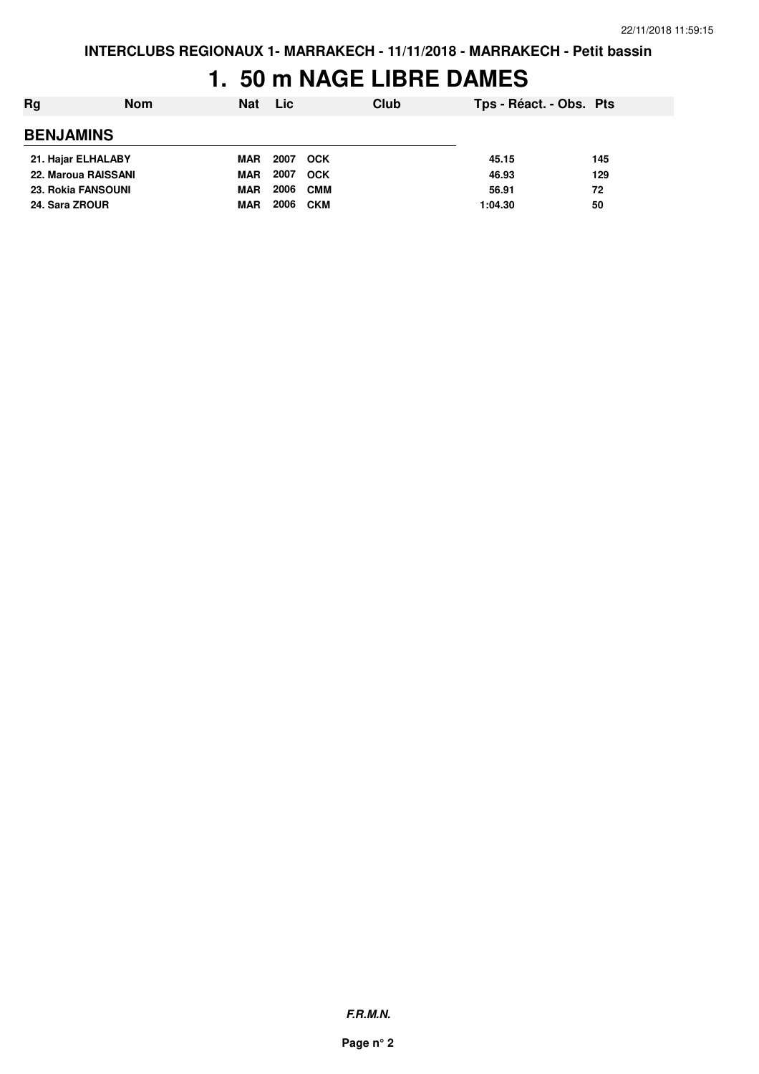## **1. 50 m NAGE LIBRE DAMES**

| Rg                        | <b>Nom</b> | <b>Nat</b> | Lic  |            | Club | Tps - Réact. - Obs. Pts |     |
|---------------------------|------------|------------|------|------------|------|-------------------------|-----|
| <b>BENJAMINS</b>          |            |            |      |            |      |                         |     |
| 21. Hajar ELHALABY        |            | MAR        | 2007 | <b>OCK</b> |      | 45.15                   | 145 |
| 22. Maroua RAISSANI       |            | <b>MAR</b> | 2007 | <b>OCK</b> |      | 46.93                   | 129 |
| <b>23. Rokia FANSOUNI</b> |            | <b>MAR</b> | 2006 | <b>CMM</b> |      | 56.91                   | 72  |
| 24. Sara ZROUR            |            | <b>MAR</b> | 2006 | <b>CKM</b> |      | 1:04.30                 | 50  |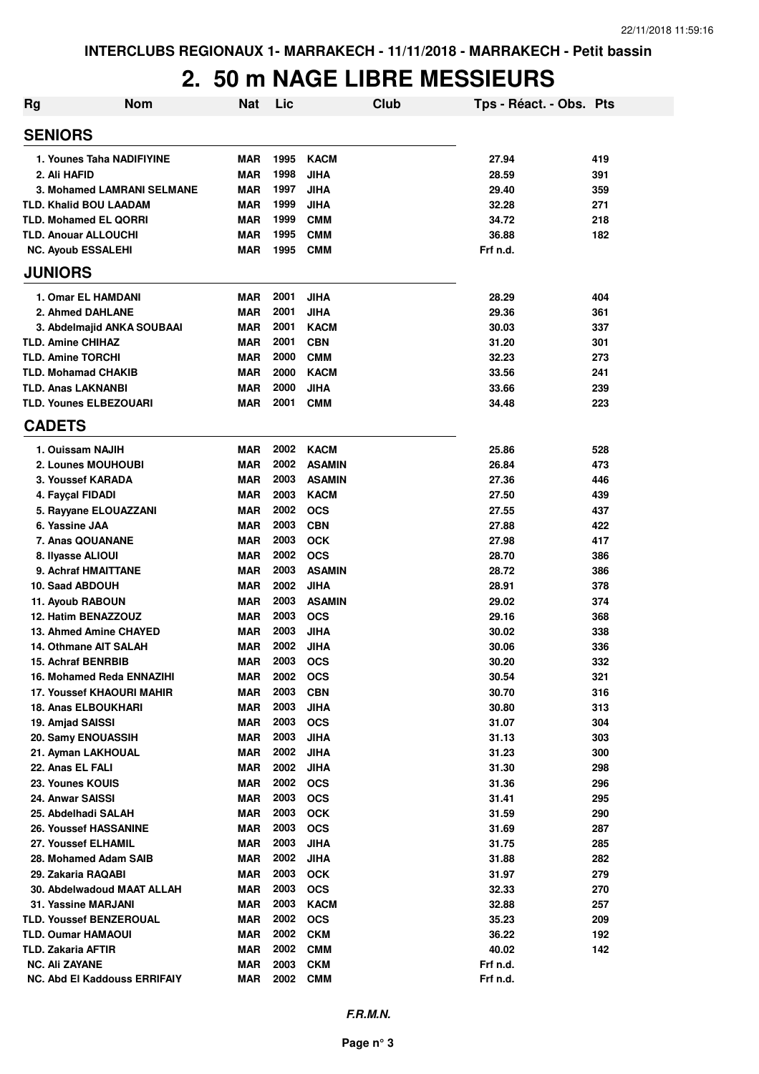# **2. 50 m NAGE LIBRE MESSIEURS**

| <b>Rg</b> | <b>Nom</b>                                       | <b>Nat</b>               | Lic          | Club                     | Tps - Réact. - Obs. Pts |            |
|-----------|--------------------------------------------------|--------------------------|--------------|--------------------------|-------------------------|------------|
|           | <b>SENIORS</b>                                   |                          |              |                          |                         |            |
|           | 1. Younes Taha NADIFIYINE                        | <b>MAR</b>               | 1995         | <b>KACM</b>              | 27.94                   | 419        |
|           | 2. Ali HAFID                                     | <b>MAR</b>               | 1998         | <b>JIHA</b>              | 28.59                   | 391        |
|           | <b>3. Mohamed LAMRANI SELMANE</b>                | <b>MAR</b>               | 1997         | <b>JIHA</b>              | 29.40                   | 359        |
|           | <b>TLD. Khalid BOU LAADAM</b>                    | <b>MAR</b>               | 1999         | <b>JIHA</b>              | 32.28                   | 271        |
|           | <b>TLD. Mohamed EL QORRI</b>                     | <b>MAR</b>               | 1999         | <b>CMM</b>               | 34.72                   | 218        |
|           | <b>TLD. Anouar ALLOUCHI</b>                      | <b>MAR</b>               | 1995         | <b>CMM</b>               | 36.88                   | 182        |
|           | <b>NC. Ayoub ESSALEHI</b>                        | <b>MAR</b>               | 1995         | <b>CMM</b>               | Frf n.d.                |            |
|           | <b>JUNIORS</b>                                   |                          |              |                          |                         |            |
|           | 1. Omar EL HAMDANI                               | <b>MAR</b>               | 2001         | <b>JIHA</b>              | 28.29                   | 404        |
|           | 2. Ahmed DAHLANE                                 | <b>MAR</b>               | 2001         | <b>JIHA</b>              | 29.36                   | 361        |
|           | 3. Abdelmajid ANKA SOUBAAI                       | <b>MAR</b>               | 2001         | <b>KACM</b>              | 30.03                   | 337        |
|           | <b>TLD. Amine CHIHAZ</b>                         | <b>MAR</b>               | 2001         | <b>CBN</b>               | 31.20                   | 301        |
|           | <b>TLD. Amine TORCHI</b>                         | <b>MAR</b>               | 2000         | <b>CMM</b>               | 32.23                   | 273        |
|           | <b>TLD. Mohamad CHAKIB</b>                       | <b>MAR</b>               | 2000         | <b>KACM</b>              | 33.56                   | 241        |
|           | <b>TLD. Anas LAKNANBI</b>                        | <b>MAR</b>               | 2000         | <b>JIHA</b>              | 33.66                   | 239        |
|           | <b>TLD. Younes ELBEZOUARI</b>                    | <b>MAR</b>               | 2001         | <b>CMM</b>               | 34.48                   | 223        |
|           | <b>CADETS</b>                                    |                          |              |                          |                         |            |
|           | 1. Ouissam NAJIH                                 | <b>MAR</b>               | 2002         | <b>KACM</b>              | 25.86                   | 528        |
|           | 2. Lounes MOUHOUBI                               | <b>MAR</b>               | 2002         | <b>ASAMIN</b>            | 26.84                   | 473        |
|           | 3. Youssef KARADA                                | <b>MAR</b>               | 2003         | <b>ASAMIN</b>            | 27.36                   | 446        |
|           | 4. Fayçal FIDADI                                 | <b>MAR</b>               | 2003         | <b>KACM</b>              | 27.50                   | 439        |
|           | 5. Rayyane ELOUAZZANI                            | <b>MAR</b>               | 2002         | <b>OCS</b>               | 27.55                   | 437        |
|           | 6. Yassine JAA                                   | <b>MAR</b>               | 2003<br>2003 | <b>CBN</b>               | 27.88                   | 422        |
|           | 7. Anas QOUANANE                                 | <b>MAR</b><br><b>MAR</b> | 2002         | <b>OCK</b><br><b>OCS</b> | 27.98<br>28.70          | 417        |
|           | 8. Ilyasse ALIOUI<br>9. Achraf HMAITTANE         | <b>MAR</b>               | 2003         | <b>ASAMIN</b>            | 28.72                   | 386<br>386 |
|           | 10. Saad ABDOUH                                  | <b>MAR</b>               | 2002         | <b>JIHA</b>              | 28.91                   | 378        |
|           | 11. Ayoub RABOUN                                 | <b>MAR</b>               | 2003         | <b>ASAMIN</b>            | 29.02                   | 374        |
|           | 12. Hatim BENAZZOUZ                              | <b>MAR</b>               | 2003         | <b>OCS</b>               | 29.16                   | 368        |
|           | 13. Ahmed Amine CHAYED                           | <b>MAR</b>               | 2003         | <b>JIHA</b>              | 30.02                   | 338        |
|           | 14. Othmane AIT SALAH                            | <b>MAR</b>               | 2002         | <b>JIHA</b>              | 30.06                   | 336        |
|           | 15. Achraf BENRBIB                               | <b>MAR</b>               | 2003         | <b>OCS</b>               | 30.20                   | 332        |
|           | 16. Mohamed Reda ENNAZIHI                        | <b>MAR</b>               | 2002         | <b>OCS</b>               | 30.54                   | 321        |
|           | <b>17. Youssef KHAOURI MAHIR</b>                 | <b>MAR</b>               | 2003         | <b>CBN</b>               | 30.70                   | 316        |
|           | <b>18. Anas ELBOUKHARI</b>                       | <b>MAR</b>               | 2003         | <b>JIHA</b>              | 30.80                   | 313        |
|           | 19. Amjad SAISSI                                 | <b>MAR</b>               | 2003         | <b>OCS</b>               | 31.07                   | 304        |
|           | 20. Samy ENOUASSIH                               | <b>MAR</b>               | 2003         | <b>JIHA</b>              | 31.13                   | 303        |
|           | 21. Ayman LAKHOUAL                               | <b>MAR</b>               | 2002         | <b>JIHA</b>              | 31.23                   | 300        |
|           | 22. Anas EL FALI                                 | <b>MAR</b>               | 2002         | <b>JIHA</b>              | 31.30                   | 298        |
|           | 23. Younes KOUIS                                 | <b>MAR</b>               | 2002         | <b>OCS</b>               | 31.36                   | 296        |
|           | 24. Anwar SAISSI                                 | <b>MAR</b>               | 2003         | <b>OCS</b>               | 31.41                   | 295        |
|           | 25. Abdelhadi SALAH                              | <b>MAR</b>               | 2003         | <b>OCK</b>               | 31.59                   | 290        |
|           | <b>26. Youssef HASSANINE</b>                     | <b>MAR</b>               | 2003         | <b>OCS</b>               | 31.69                   | 287        |
|           | 27. Youssef ELHAMIL                              | <b>MAR</b>               | 2003         | <b>JIHA</b>              | 31.75                   | 285        |
|           | 28. Mohamed Adam SAIB                            | <b>MAR</b>               | 2002<br>2003 | <b>JIHA</b>              | 31.88                   | 282        |
|           | 29. Zakaria RAQABI<br>30. Abdelwadoud MAAT ALLAH | <b>MAR</b><br><b>MAR</b> | 2003         | <b>OCK</b><br><b>OCS</b> | 31.97<br>32.33          | 279<br>270 |
|           | 31. Yassine MARJANI                              | <b>MAR</b>               | 2003         | <b>KACM</b>              | 32.88                   | 257        |
|           | <b>TLD. Youssef BENZEROUAL</b>                   | <b>MAR</b>               | 2002         | <b>OCS</b>               | 35.23                   | 209        |
|           | <b>TLD. Oumar HAMAOUI</b>                        | MAR                      | 2002         | <b>CKM</b>               | 36.22                   | 192        |
|           | <b>TLD. Zakaria AFTIR</b>                        | <b>MAR</b>               | 2002         | <b>CMM</b>               | 40.02                   | 142        |
|           | <b>NC. Ali ZAYANE</b>                            | <b>MAR</b>               | 2003         | <b>CKM</b>               | Frf n.d.                |            |
|           | NC. Abd El Kaddouss ERRIFAIY                     | <b>MAR</b>               | 2002         | <b>CMM</b>               | Frf n.d.                |            |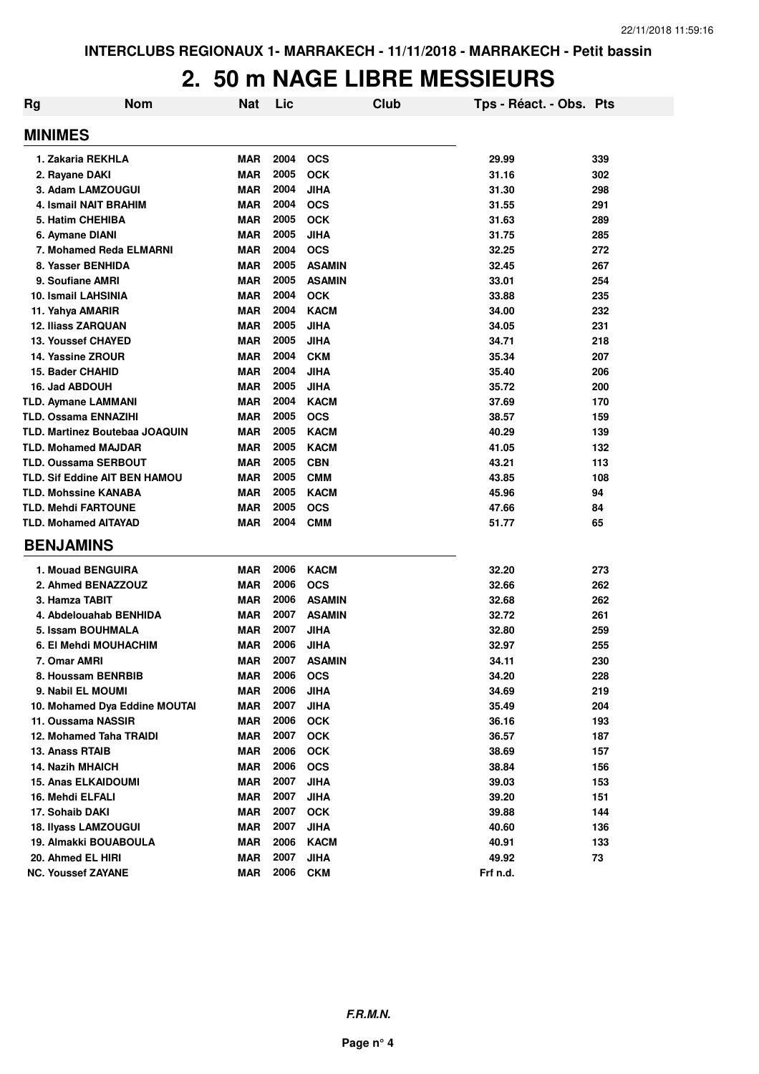#### **2. 50 m NAGE LIBRE MESSIEURS**

| Rg | <b>Nom</b>                           | <b>Nat</b> | Lic  |               | Club | Tps - Réact. - Obs. Pts |     |
|----|--------------------------------------|------------|------|---------------|------|-------------------------|-----|
|    | <b>MINIMES</b>                       |            |      |               |      |                         |     |
|    | 1. Zakaria REKHLA                    | <b>MAR</b> | 2004 | <b>OCS</b>    |      | 29.99                   | 339 |
|    | 2. Rayane DAKI                       | <b>MAR</b> | 2005 | <b>OCK</b>    |      | 31.16                   | 302 |
|    | 3. Adam LAMZOUGUI                    | <b>MAR</b> | 2004 | <b>JIHA</b>   |      | 31.30                   | 298 |
|    | 4. Ismail NAIT BRAHIM                | <b>MAR</b> | 2004 | <b>OCS</b>    |      | 31.55                   | 291 |
|    | 5. Hatim CHEHIBA                     | <b>MAR</b> | 2005 | <b>OCK</b>    |      | 31.63                   | 289 |
|    | 6. Aymane DIANI                      | <b>MAR</b> | 2005 | <b>JIHA</b>   |      | 31.75                   | 285 |
|    | 7. Mohamed Reda ELMARNI              | <b>MAR</b> | 2004 | <b>OCS</b>    |      | 32.25                   | 272 |
|    | 8. Yasser BENHIDA                    | <b>MAR</b> | 2005 | <b>ASAMIN</b> |      | 32.45                   | 267 |
|    | 9. Soufiane AMRI                     | <b>MAR</b> | 2005 | <b>ASAMIN</b> |      | 33.01                   | 254 |
|    | 10. Ismail LAHSINIA                  | <b>MAR</b> | 2004 | <b>OCK</b>    |      | 33.88                   | 235 |
|    | 11. Yahya AMARIR                     | <b>MAR</b> | 2004 | <b>KACM</b>   |      | 34.00                   | 232 |
|    | <b>12. Iliass ZARQUAN</b>            | <b>MAR</b> | 2005 | JIHA          |      | 34.05                   | 231 |
|    | <b>13. Youssef CHAYED</b>            | <b>MAR</b> | 2005 | <b>JIHA</b>   |      | 34.71                   | 218 |
|    | 14. Yassine ZROUR                    | <b>MAR</b> | 2004 | <b>CKM</b>    |      | 35.34                   | 207 |
|    | 15. Bader CHAHID                     | <b>MAR</b> | 2004 | <b>JIHA</b>   |      | 35.40                   | 206 |
|    | 16. Jad ABDOUH                       | <b>MAR</b> | 2005 | <b>JIHA</b>   |      | 35.72                   | 200 |
|    | TLD. Aymane LAMMANI                  | <b>MAR</b> | 2004 | <b>KACM</b>   |      | 37.69                   | 170 |
|    | <b>TLD. Ossama ENNAZIHI</b>          | <b>MAR</b> | 2005 | <b>OCS</b>    |      | 38.57                   | 159 |
|    | TLD. Martinez Boutebaa JOAQUIN       | <b>MAR</b> | 2005 | <b>KACM</b>   |      | 40.29                   | 139 |
|    | <b>TLD. Mohamed MAJDAR</b>           | <b>MAR</b> | 2005 | <b>KACM</b>   |      | 41.05                   | 132 |
|    | <b>TLD. Oussama SERBOUT</b>          | <b>MAR</b> | 2005 | <b>CBN</b>    |      | 43.21                   | 113 |
|    | <b>TLD. Sif Eddine AIT BEN HAMOU</b> | <b>MAR</b> | 2005 | <b>CMM</b>    |      | 43.85                   | 108 |
|    | <b>TLD. Mohssine KANABA</b>          | <b>MAR</b> | 2005 | <b>KACM</b>   |      | 45.96                   | 94  |
|    | <b>TLD. Mehdi FARTOUNE</b>           | <b>MAR</b> | 2005 | <b>OCS</b>    |      | 47.66                   | 84  |
|    | <b>TLD. Mohamed AITAYAD</b>          | <b>MAR</b> | 2004 | <b>CMM</b>    |      | 51.77                   | 65  |
|    | <b>BENJAMINS</b>                     |            |      |               |      |                         |     |
|    | 1. Mouad BENGUIRA                    | <b>MAR</b> | 2006 | <b>KACM</b>   |      | 32.20                   | 273 |
|    | 2. Ahmed BENAZZOUZ                   | <b>MAR</b> | 2006 | <b>OCS</b>    |      | 32.66                   | 262 |
|    | 3. Hamza TABIT                       | <b>MAR</b> | 2006 | <b>ASAMIN</b> |      | 32.68                   | 262 |
|    | 4. Abdelouahab BENHIDA               | <b>MAR</b> | 2007 | <b>ASAMIN</b> |      | 32.72                   | 261 |
|    | 5. Issam BOUHMALA                    | <b>MAR</b> | 2007 | <b>JIHA</b>   |      | 32.80                   | 259 |
|    | 6. El Mehdi MOUHACHIM                | <b>MAR</b> | 2006 | <b>JIHA</b>   |      | 32.97                   | 255 |
|    | 7. Omar AMRI                         | <b>MAR</b> | 2007 | <b>ASAMIN</b> |      | 34.11                   | 230 |
|    | 8. Houssam BENRBIB                   | <b>MAR</b> | 2006 | <b>OCS</b>    |      | 34.20                   | 228 |
|    | 9. Nabil EL MOUMI                    | <b>MAR</b> | 2006 | <b>JIHA</b>   |      | 34.69                   | 219 |
|    | 10. Mohamed Dya Eddine MOUTAI        | <b>MAR</b> | 2007 | <b>JIHA</b>   |      | 35.49                   | 204 |
|    | 11. Oussama NASSIR                   | <b>MAR</b> | 2006 | <b>OCK</b>    |      | 36.16                   | 193 |
|    | 12. Mohamed Taha TRAIDI              | <b>MAR</b> | 2007 | <b>OCK</b>    |      | 36.57                   | 187 |
|    | 13. Anass RTAIB                      | <b>MAR</b> | 2006 | <b>OCK</b>    |      | 38.69                   | 157 |
|    | <b>14. Nazih MHAICH</b>              | <b>MAR</b> | 2006 | <b>OCS</b>    |      | 38.84                   | 156 |
|    | <b>15. Anas ELKAIDOUMI</b>           | <b>MAR</b> | 2007 | <b>JIHA</b>   |      | 39.03                   | 153 |
|    | 16. Mehdi ELFALI                     | <b>MAR</b> | 2007 | <b>JIHA</b>   |      | 39.20                   | 151 |
|    | 17. Sohaib DAKI                      | <b>MAR</b> | 2007 | OCK           |      | 39.88                   | 144 |
|    | <b>18. Ilvass LAMZOUGUI</b>          | <b>MAR</b> | 2007 | <b>JIHA</b>   |      | 40.60                   | 136 |
|    | 19. Almakki BOUABOULA                | <b>MAR</b> | 2006 | <b>KACM</b>   |      | 40.91                   | 133 |
|    | 20. Ahmed EL HIRI                    | <b>MAR</b> | 2007 | <b>JIHA</b>   |      | 49.92                   | 73  |
|    | <b>NC. Youssef ZAYANE</b>            | <b>MAR</b> | 2006 | <b>CKM</b>    |      | Frf n.d.                |     |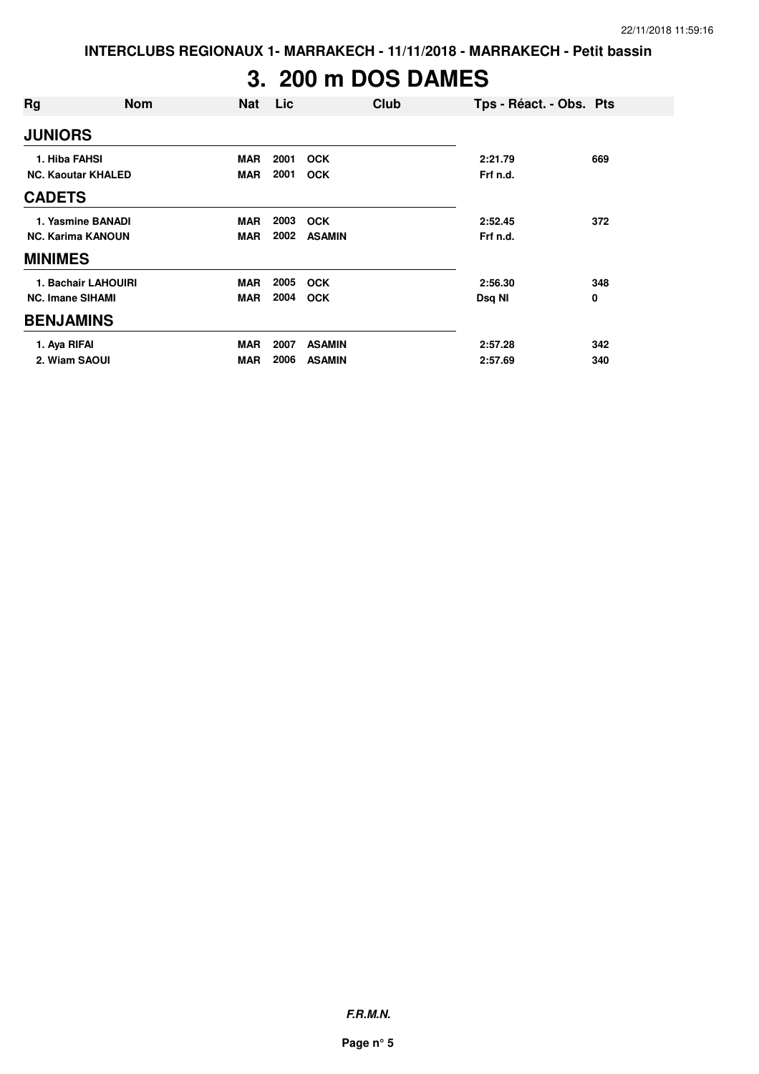**INTERCLUBS REGIONAUX 1- MARRAKECH - 11/11/2018 - MARRAKECH - Petit bassin**

# **3. 200 m DOS DAMES**

| Rg                        | <b>Nom</b>          | <b>Nat</b> | Lic  |               | Club | Tps - Réact. - Obs. Pts |     |
|---------------------------|---------------------|------------|------|---------------|------|-------------------------|-----|
| <b>JUNIORS</b>            |                     |            |      |               |      |                         |     |
| 1. Hiba FAHSI             |                     | <b>MAR</b> | 2001 | <b>OCK</b>    |      | 2:21.79                 | 669 |
| <b>NC. Kaoutar KHALED</b> |                     | <b>MAR</b> | 2001 | <b>OCK</b>    |      | Frf n.d.                |     |
| <b>CADETS</b>             |                     |            |      |               |      |                         |     |
|                           | 1. Yasmine BANADI   | <b>MAR</b> | 2003 | <b>OCK</b>    |      | 2:52.45                 | 372 |
| <b>NC. Karima KANOUN</b>  |                     | <b>MAR</b> | 2002 | <b>ASAMIN</b> |      | Frf n.d.                |     |
| <b>MINIMES</b>            |                     |            |      |               |      |                         |     |
|                           | 1. Bachair LAHOUIRI | <b>MAR</b> | 2005 | <b>OCK</b>    |      | 2:56.30                 | 348 |
| <b>NC. Imane SIHAMI</b>   |                     | <b>MAR</b> | 2004 | <b>OCK</b>    |      | Dsq NI                  | 0   |
| <b>BENJAMINS</b>          |                     |            |      |               |      |                         |     |
| 1. Aya RIFAI              |                     | <b>MAR</b> | 2007 | <b>ASAMIN</b> |      | 2:57.28                 | 342 |
| 2. Wiam SAOUI             |                     | <b>MAR</b> | 2006 | <b>ASAMIN</b> |      | 2:57.69                 | 340 |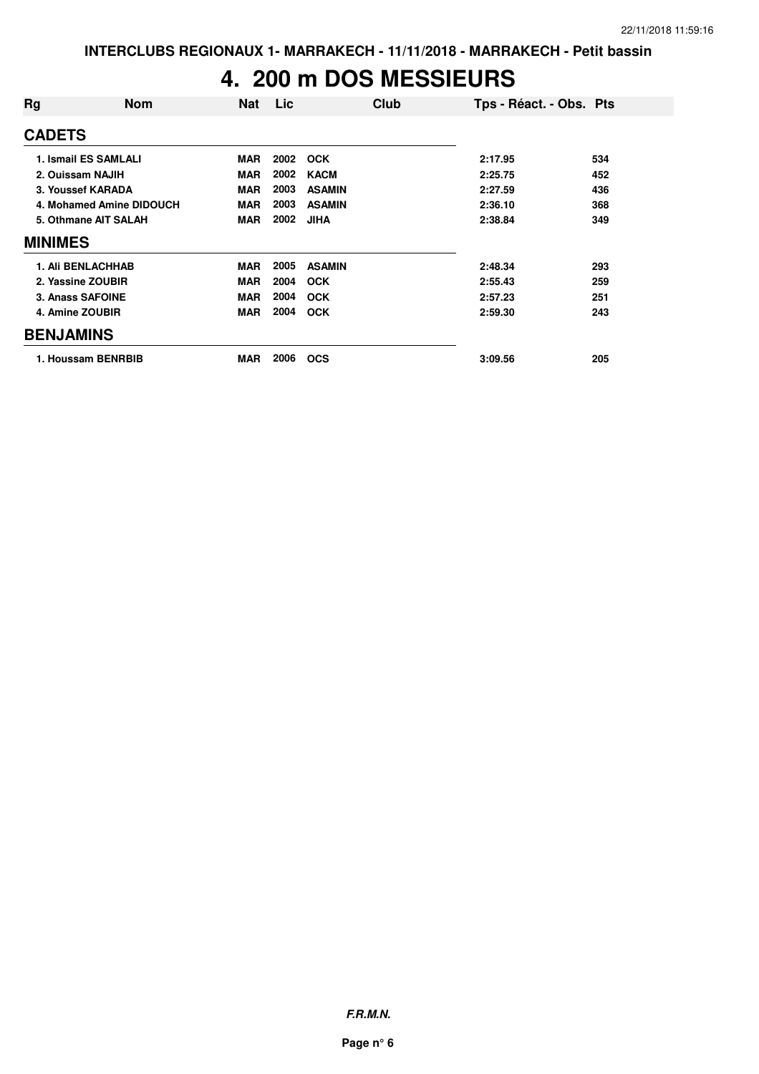#### **4. 200 m DOS MESSIEURS**

| Rg               | <b>Nom</b>               | <b>Nat</b> | Lic  | Club          | Tps - Réact. - Obs. Pts |     |
|------------------|--------------------------|------------|------|---------------|-------------------------|-----|
| <b>CADETS</b>    |                          |            |      |               |                         |     |
|                  | 1. Ismail ES SAMLALI     | <b>MAR</b> | 2002 | <b>OCK</b>    | 2:17.95                 | 534 |
|                  | 2. Ouissam NAJIH         | <b>MAR</b> | 2002 | <b>KACM</b>   | 2:25.75                 | 452 |
|                  | 3. Youssef KARADA        | <b>MAR</b> | 2003 | <b>ASAMIN</b> | 2:27.59                 | 436 |
|                  | 4. Mohamed Amine DIDOUCH | <b>MAR</b> | 2003 | <b>ASAMIN</b> | 2:36.10                 | 368 |
|                  | 5. Othmane AIT SALAH     | <b>MAR</b> | 2002 | <b>JIHA</b>   | 2:38.84                 | 349 |
| <b>MINIMES</b>   |                          |            |      |               |                         |     |
|                  | <b>1. Ali BENLACHHAB</b> | <b>MAR</b> | 2005 | <b>ASAMIN</b> | 2:48.34                 | 293 |
|                  | 2. Yassine ZOUBIR        | <b>MAR</b> | 2004 | <b>OCK</b>    | 2:55.43                 | 259 |
|                  | 3. Anass SAFOINE         | <b>MAR</b> | 2004 | <b>OCK</b>    | 2:57.23                 | 251 |
|                  | 4. Amine ZOUBIR          | <b>MAR</b> | 2004 | <b>OCK</b>    | 2:59.30                 | 243 |
| <b>BENJAMINS</b> |                          |            |      |               |                         |     |
|                  | 1. Houssam BENRBIB       | <b>MAR</b> | 2006 | <b>OCS</b>    | 3:09.56                 | 205 |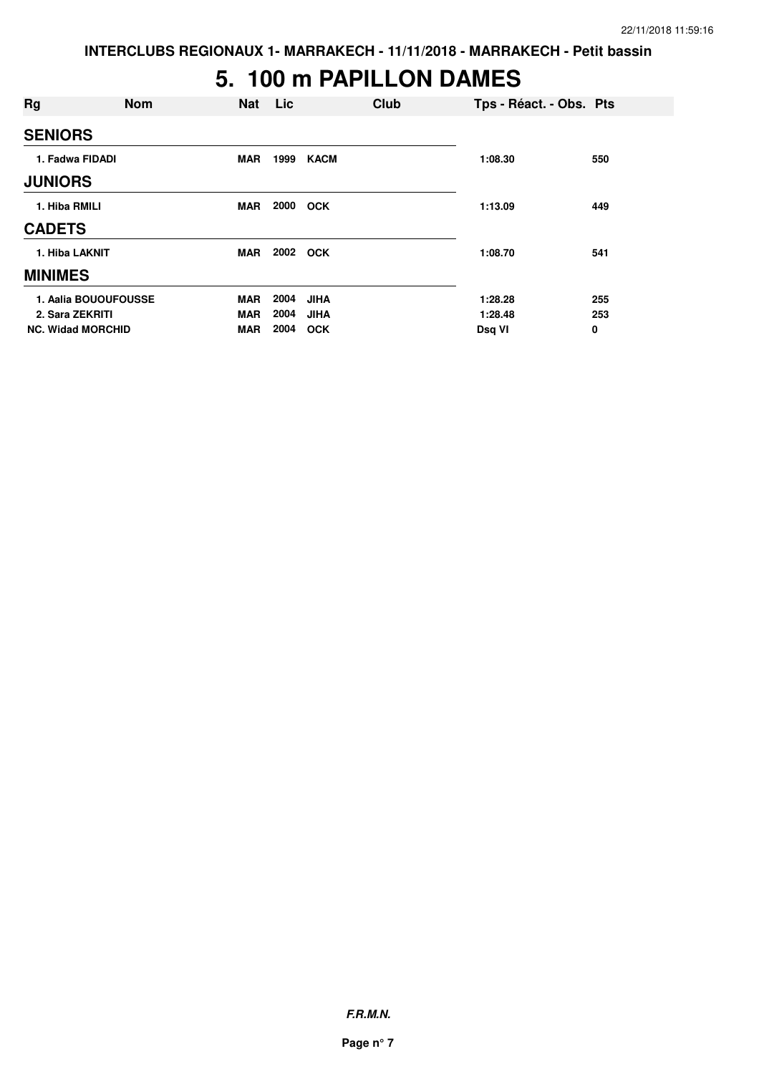#### **5. 100 m PAPILLON DAMES**

| Rg                       | <b>Nom</b> | <b>Nat</b> | <b>Lic</b> |             | Club | Tps - Réact. - Obs. Pts |     |
|--------------------------|------------|------------|------------|-------------|------|-------------------------|-----|
| <b>SENIORS</b>           |            |            |            |             |      |                         |     |
| 1. Fadwa FIDADI          |            | <b>MAR</b> | 1999       | <b>KACM</b> |      | 1:08.30                 | 550 |
| <b>JUNIORS</b>           |            |            |            |             |      |                         |     |
| 1. Hiba RMILI            |            | <b>MAR</b> | 2000       | <b>OCK</b>  |      | 1:13.09                 | 449 |
| <b>CADETS</b>            |            |            |            |             |      |                         |     |
| 1. Hiba LAKNIT           |            | <b>MAR</b> | 2002       | <b>OCK</b>  |      | 1:08.70                 | 541 |
| <b>MINIMES</b>           |            |            |            |             |      |                         |     |
| 1. Aalia BOUOUFOUSSE     |            | <b>MAR</b> | 2004       | <b>JIHA</b> |      | 1:28.28                 | 255 |
| 2. Sara ZEKRITI          |            | <b>MAR</b> | 2004       | <b>JIHA</b> |      | 1:28.48                 | 253 |
| <b>NC. Widad MORCHID</b> |            | <b>MAR</b> | 2004       | <b>OCK</b>  |      | Dsq VI                  | 0   |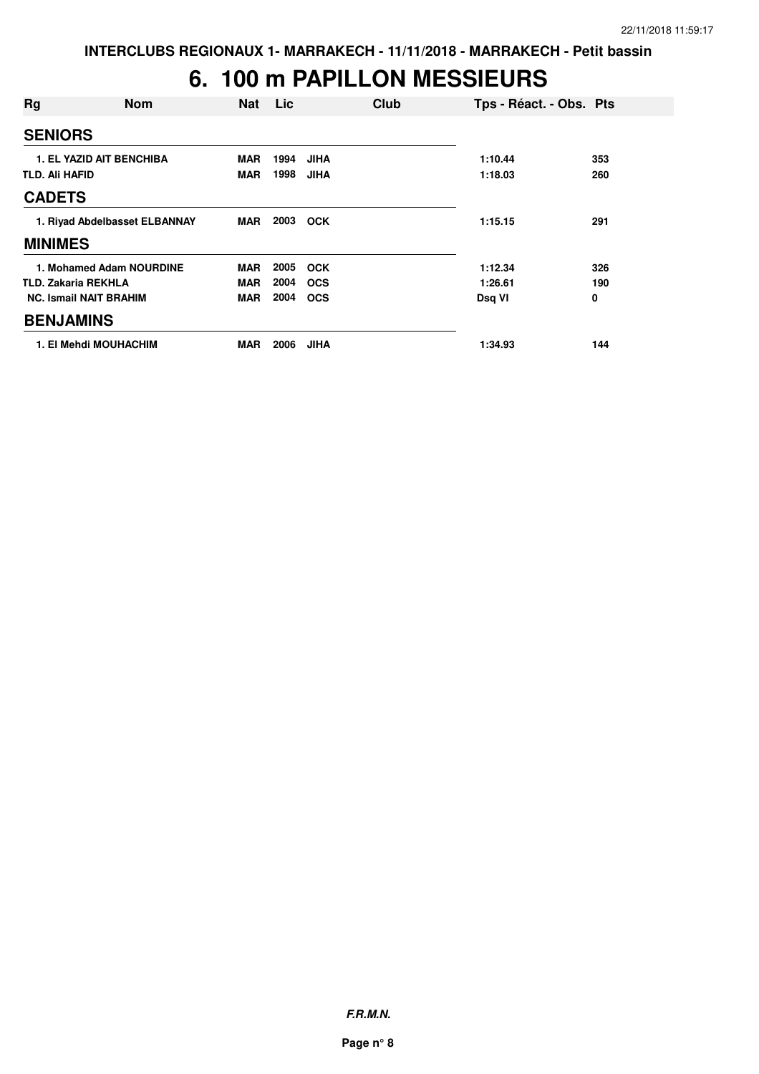## **6. 100 m PAPILLON MESSIEURS**

| Rg                    | <b>Nom</b>                      | <b>Nat</b> | Lic  | Club        | Tps - Réact. - Obs. Pts |     |
|-----------------------|---------------------------------|------------|------|-------------|-------------------------|-----|
| <b>SENIORS</b>        |                                 |            |      |             |                         |     |
|                       | <b>1. EL YAZID AIT BENCHIBA</b> | <b>MAR</b> | 1994 | <b>JIHA</b> | 1:10.44                 | 353 |
| <b>TLD. Ali HAFID</b> |                                 | <b>MAR</b> | 1998 | <b>JIHA</b> | 1:18.03                 | 260 |
| <b>CADETS</b>         |                                 |            |      |             |                         |     |
|                       | 1. Riyad Abdelbasset ELBANNAY   | <b>MAR</b> | 2003 | <b>OCK</b>  | 1:15.15                 | 291 |
| <b>MINIMES</b>        |                                 |            |      |             |                         |     |
|                       | 1. Mohamed Adam NOURDINE        | <b>MAR</b> | 2005 | <b>OCK</b>  | 1:12.34                 | 326 |
|                       | <b>TLD. Zakaria REKHLA</b>      | <b>MAR</b> | 2004 | <b>OCS</b>  | 1:26.61                 | 190 |
|                       | <b>NC. Ismail NAIT BRAHIM</b>   | <b>MAR</b> | 2004 | <b>OCS</b>  | Dsq VI                  | 0   |
| <b>BENJAMINS</b>      |                                 |            |      |             |                         |     |
|                       | 1. El Mehdi MOUHACHIM           | <b>MAR</b> | 2006 | <b>JIHA</b> | 1:34.93                 | 144 |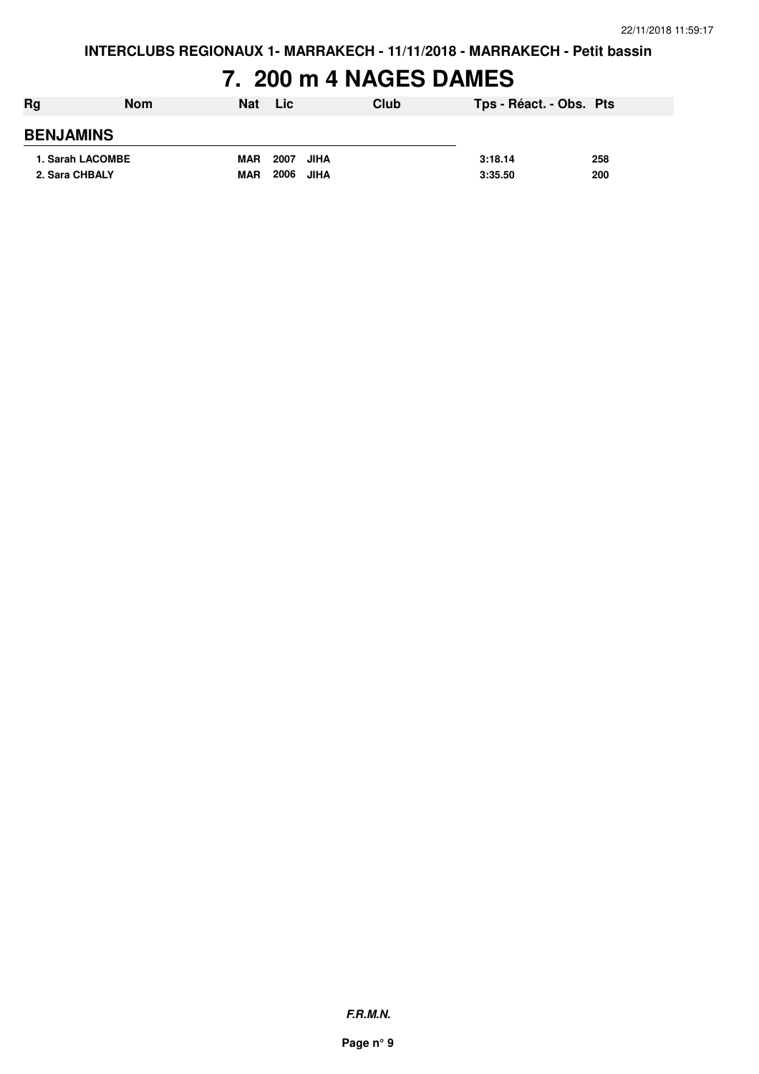## **7. 200 m 4 NAGES DAMES**

| Rg               | <b>Nom</b> | <b>Nat</b> | Lic          | Club | Tps - Réact. - Obs. Pts |     |
|------------------|------------|------------|--------------|------|-------------------------|-----|
| <b>BENJAMINS</b> |            |            |              |      |                         |     |
| 1. Sarah LACOMBE |            | <b>MAR</b> | 2007<br>JIHA |      | 3:18.14                 | 258 |
| 2. Sara CHBALY   |            | <b>MAR</b> | 2006 JIHA    |      | 3:35.50                 | 200 |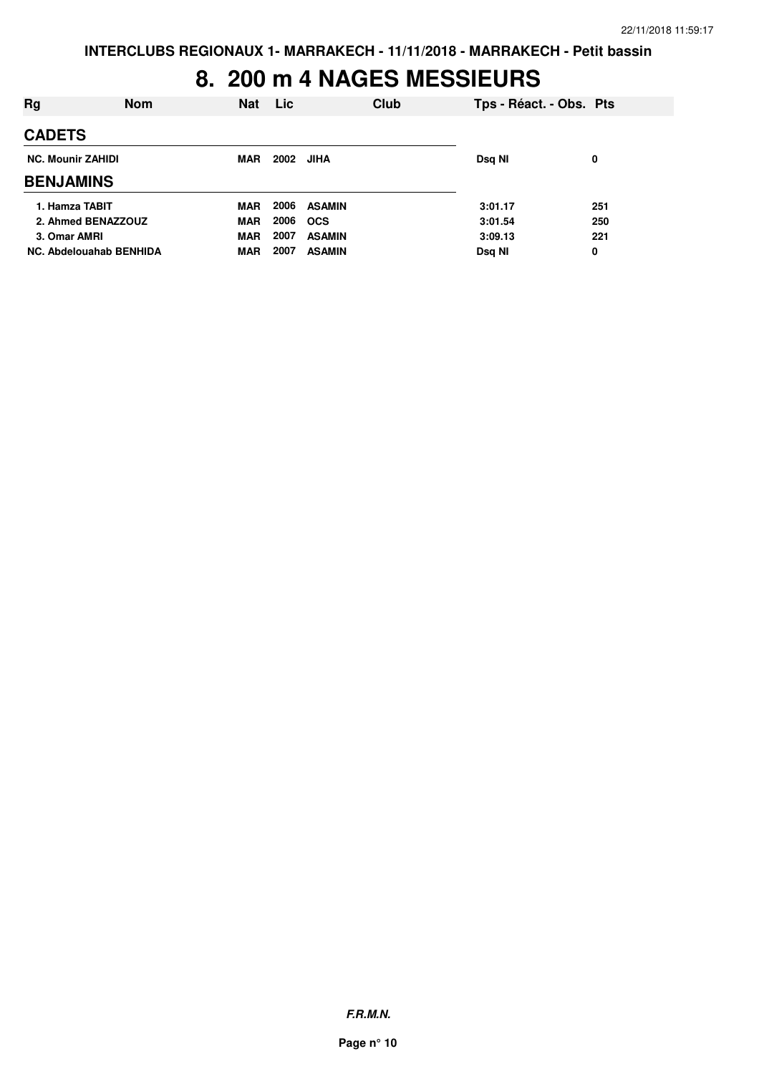#### **8. 200 m 4 NAGES MESSIEURS**

| Rg                             | <b>Nom</b> | <b>Nat</b> | <b>Lic</b> |               | Club | Tps - Réact. - Obs. Pts |     |
|--------------------------------|------------|------------|------------|---------------|------|-------------------------|-----|
| <b>CADETS</b>                  |            |            |            |               |      |                         |     |
| <b>NC. Mounir ZAHIDI</b>       |            |            | 2002       | JIHA          |      | Dsq NI                  | 0   |
| <b>BENJAMINS</b>               |            |            |            |               |      |                         |     |
| 1. Hamza TABIT                 |            | <b>MAR</b> | 2006       | <b>ASAMIN</b> |      | 3:01.17                 | 251 |
| 2. Ahmed BENAZZOUZ             |            | <b>MAR</b> | 2006       | <b>OCS</b>    |      | 3:01.54                 | 250 |
| 3. Omar AMRI                   |            | <b>MAR</b> | 2007       | <b>ASAMIN</b> |      | 3:09.13                 | 221 |
| <b>NC. Abdelouahab BENHIDA</b> |            | <b>MAR</b> | 2007       | <b>ASAMIN</b> |      | Dsq NI                  | 0   |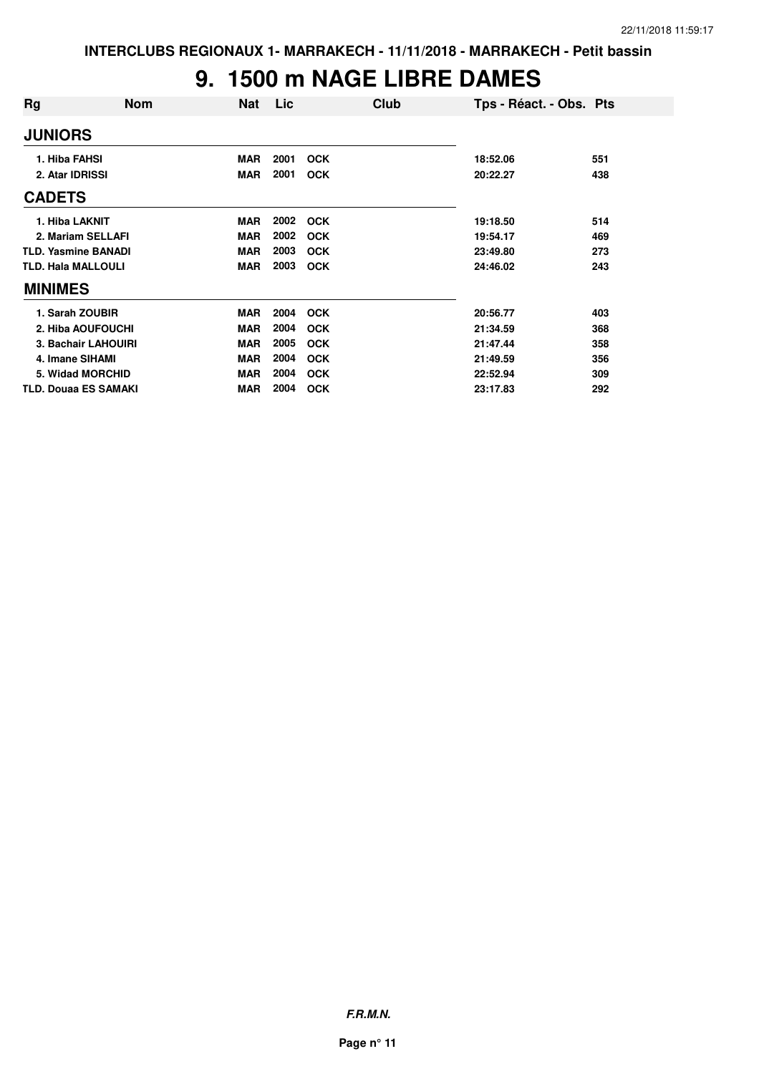#### **9. 1500 m NAGE LIBRE DAMES**

| Rg                          | <b>Nom</b>          | <b>Nat</b> | Lic  | Club       | Tps - Réact. - Obs. Pts |     |
|-----------------------------|---------------------|------------|------|------------|-------------------------|-----|
| <b>JUNIORS</b>              |                     |            |      |            |                         |     |
| 1. Hiba FAHSI               |                     | <b>MAR</b> | 2001 | <b>OCK</b> | 18:52.06                | 551 |
| 2. Atar IDRISSI             |                     | <b>MAR</b> | 2001 | <b>OCK</b> | 20:22.27                | 438 |
| <b>CADETS</b>               |                     |            |      |            |                         |     |
| 1. Hiba LAKNIT              |                     | <b>MAR</b> | 2002 | <b>OCK</b> | 19:18.50                | 514 |
| 2. Mariam SELLAFI           |                     | <b>MAR</b> | 2002 | <b>OCK</b> | 19:54.17                | 469 |
| <b>TLD. Yasmine BANADI</b>  |                     | <b>MAR</b> | 2003 | <b>OCK</b> | 23:49.80                | 273 |
| <b>TLD. Hala MALLOULI</b>   |                     | <b>MAR</b> | 2003 | <b>OCK</b> | 24:46.02                | 243 |
| <b>MINIMES</b>              |                     |            |      |            |                         |     |
| 1. Sarah ZOUBIR             |                     | <b>MAR</b> | 2004 | <b>OCK</b> | 20:56.77                | 403 |
|                             | 2. Hiba AOUFOUCHI   | <b>MAR</b> | 2004 | <b>OCK</b> | 21:34.59                | 368 |
|                             | 3. Bachair LAHOUIRI | <b>MAR</b> | 2005 | <b>OCK</b> | 21:47.44                | 358 |
| 4. Imane SIHAMI             |                     | <b>MAR</b> | 2004 | <b>OCK</b> | 21:49.59                | 356 |
| 5. Widad MORCHID            |                     | <b>MAR</b> | 2004 | <b>OCK</b> | 22:52.94                | 309 |
| <b>TLD. Douaa ES SAMAKI</b> |                     | <b>MAR</b> | 2004 | <b>OCK</b> | 23:17.83                | 292 |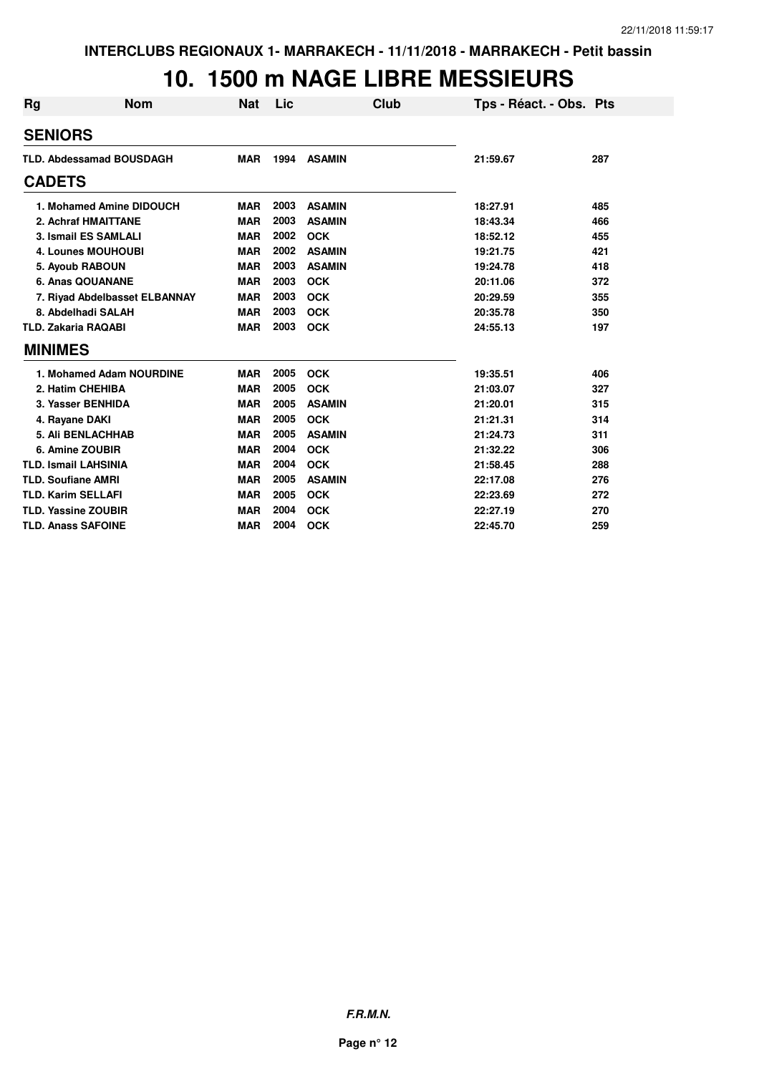#### **10. 1500 m NAGE LIBRE MESSIEURS**

| <b>Rg</b> | <b>Nom</b>                      | <b>Nat</b> | Lic  | Club          | Tps - Réact. - Obs. Pts |     |
|-----------|---------------------------------|------------|------|---------------|-------------------------|-----|
|           | <b>SENIORS</b>                  |            |      |               |                         |     |
|           | <b>TLD. Abdessamad BOUSDAGH</b> | <b>MAR</b> | 1994 | <b>ASAMIN</b> | 21:59.67                | 287 |
|           | <b>CADETS</b>                   |            |      |               |                         |     |
|           | 1. Mohamed Amine DIDOUCH        | <b>MAR</b> | 2003 | <b>ASAMIN</b> | 18:27.91                | 485 |
|           | 2. Achraf HMAITTANE             | <b>MAR</b> | 2003 | <b>ASAMIN</b> | 18:43.34                | 466 |
|           | 3. Ismail ES SAMLALI            | <b>MAR</b> | 2002 | <b>OCK</b>    | 18:52.12                | 455 |
|           | <b>4. Lounes MOUHOUBI</b>       | <b>MAR</b> | 2002 | <b>ASAMIN</b> | 19:21.75                | 421 |
|           | 5. Ayoub RABOUN                 | <b>MAR</b> | 2003 | <b>ASAMIN</b> | 19:24.78                | 418 |
|           | 6. Anas QOUANANE                | <b>MAR</b> | 2003 | <b>OCK</b>    | 20:11.06                | 372 |
|           | 7. Riyad Abdelbasset ELBANNAY   | <b>MAR</b> | 2003 | <b>OCK</b>    | 20:29.59                | 355 |
|           | 8. Abdelhadi SALAH              | <b>MAR</b> | 2003 | <b>OCK</b>    | 20:35.78                | 350 |
|           | <b>TLD. Zakaria RAQABI</b>      | <b>MAR</b> | 2003 | <b>OCK</b>    | 24:55.13                | 197 |
|           | <b>MINIMES</b>                  |            |      |               |                         |     |
|           | 1. Mohamed Adam NOURDINE        | <b>MAR</b> | 2005 | <b>OCK</b>    | 19:35.51                | 406 |
|           | 2. Hatim CHEHIBA                | <b>MAR</b> | 2005 | <b>OCK</b>    | 21:03.07                | 327 |
|           | 3. Yasser BENHIDA               | <b>MAR</b> | 2005 | <b>ASAMIN</b> | 21:20.01                | 315 |
|           | 4. Rayane DAKI                  | <b>MAR</b> | 2005 | <b>OCK</b>    | 21:21.31                | 314 |
|           | <b>5. Ali BENLACHHAB</b>        | <b>MAR</b> | 2005 | <b>ASAMIN</b> | 21:24.73                | 311 |
|           | 6. Amine ZOUBIR                 | <b>MAR</b> | 2004 | <b>OCK</b>    | 21:32.22                | 306 |
|           | <b>TLD. Ismail LAHSINIA</b>     | <b>MAR</b> | 2004 | <b>OCK</b>    | 21:58.45                | 288 |
|           | <b>TLD. Soufiane AMRI</b>       | <b>MAR</b> | 2005 | <b>ASAMIN</b> | 22:17.08                | 276 |
|           | <b>TLD. Karim SELLAFI</b>       | <b>MAR</b> | 2005 | <b>OCK</b>    | 22:23.69                | 272 |
|           | <b>TLD. Yassine ZOUBIR</b>      | <b>MAR</b> | 2004 | <b>OCK</b>    | 22:27.19                | 270 |
|           | <b>TLD. Anass SAFOINE</b>       | <b>MAR</b> | 2004 | <b>OCK</b>    | 22:45.70                | 259 |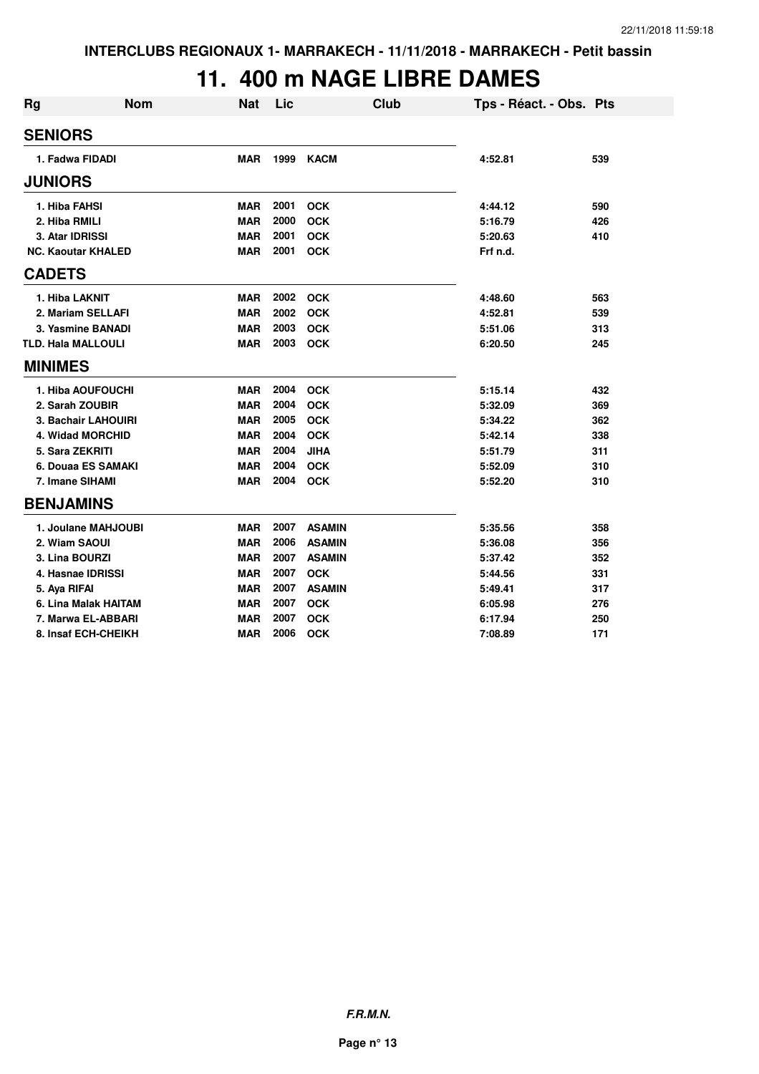#### **11. 400 m NAGE LIBRE DAMES**

| <b>Rg</b>                 | <b>Nom</b> | <b>Nat</b> | Lic  | Club          | Tps - Réact. - Obs. Pts |     |
|---------------------------|------------|------------|------|---------------|-------------------------|-----|
| <b>SENIORS</b>            |            |            |      |               |                         |     |
| 1. Fadwa FIDADI           |            | <b>MAR</b> | 1999 | <b>KACM</b>   | 4:52.81                 | 539 |
| <b>JUNIORS</b>            |            |            |      |               |                         |     |
| 1. Hiba FAHSI             |            | <b>MAR</b> | 2001 | <b>OCK</b>    | 4:44.12                 | 590 |
| 2. Hiba RMILI             |            | <b>MAR</b> | 2000 | <b>OCK</b>    | 5:16.79                 | 426 |
| 3. Atar IDRISSI           |            | <b>MAR</b> | 2001 | <b>OCK</b>    | 5:20.63                 | 410 |
| <b>NC. Kaoutar KHALED</b> |            | <b>MAR</b> | 2001 | <b>OCK</b>    | Frf n.d.                |     |
| <b>CADETS</b>             |            |            |      |               |                         |     |
| 1. Hiba LAKNIT            |            | <b>MAR</b> | 2002 | <b>OCK</b>    | 4:48.60                 | 563 |
| 2. Mariam SELLAFI         |            | <b>MAR</b> | 2002 | <b>OCK</b>    | 4:52.81                 | 539 |
| 3. Yasmine BANADI         |            | <b>MAR</b> | 2003 | <b>OCK</b>    | 5:51.06                 | 313 |
| <b>TLD. Hala MALLOULI</b> |            | <b>MAR</b> | 2003 | <b>OCK</b>    | 6:20.50                 | 245 |
| <b>MINIMES</b>            |            |            |      |               |                         |     |
| 1. Hiba AOUFOUCHI         |            | <b>MAR</b> | 2004 | <b>OCK</b>    | 5:15.14                 | 432 |
| 2. Sarah ZOUBIR           |            | <b>MAR</b> | 2004 | <b>OCK</b>    | 5:32.09                 | 369 |
| 3. Bachair LAHOUIRI       |            | <b>MAR</b> | 2005 | <b>OCK</b>    | 5:34.22                 | 362 |
| 4. Widad MORCHID          |            | <b>MAR</b> | 2004 | <b>OCK</b>    | 5:42.14                 | 338 |
| 5. Sara ZEKRITI           |            | <b>MAR</b> | 2004 | <b>JIHA</b>   | 5:51.79                 | 311 |
| 6. Douaa ES SAMAKI        |            | <b>MAR</b> | 2004 | <b>OCK</b>    | 5:52.09                 | 310 |
| 7. Imane SIHAMI           |            | <b>MAR</b> | 2004 | <b>OCK</b>    | 5:52.20                 | 310 |
| <b>BENJAMINS</b>          |            |            |      |               |                         |     |
| 1. Joulane MAHJOUBI       |            | <b>MAR</b> | 2007 | <b>ASAMIN</b> | 5:35.56                 | 358 |
| 2. Wiam SAOUI             |            | <b>MAR</b> | 2006 | <b>ASAMIN</b> | 5:36.08                 | 356 |
| 3. Lina BOURZI            |            | <b>MAR</b> | 2007 | <b>ASAMIN</b> | 5:37.42                 | 352 |
| 4. Hasnae IDRISSI         |            | <b>MAR</b> | 2007 | <b>OCK</b>    | 5:44.56                 | 331 |
| 5. Aya RIFAI              |            | <b>MAR</b> | 2007 | <b>ASAMIN</b> | 5:49.41                 | 317 |
| 6. Lina Malak HAITAM      |            | <b>MAR</b> | 2007 | <b>OCK</b>    | 6:05.98                 | 276 |
| 7. Marwa EL-ABBARI        |            | <b>MAR</b> | 2007 | <b>OCK</b>    | 6:17.94                 | 250 |
| 8. Insaf ECH-CHEIKH       |            | <b>MAR</b> | 2006 | <b>OCK</b>    | 7:08.89                 | 171 |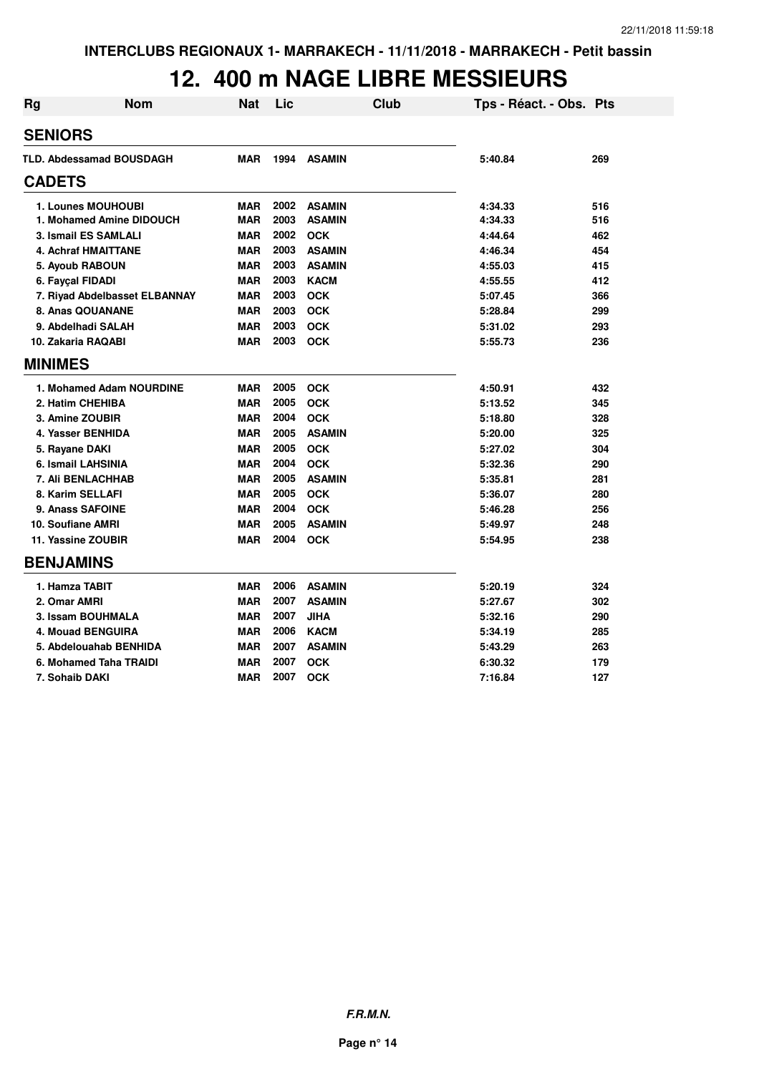#### **12. 400 m NAGE LIBRE MESSIEURS**

| <b>Rg</b>          | <b>Nom</b>                      | <b>Nat</b> | Lic  |               | Club | Tps - Réact. - Obs. Pts |     |
|--------------------|---------------------------------|------------|------|---------------|------|-------------------------|-----|
| <b>SENIORS</b>     |                                 |            |      |               |      |                         |     |
|                    | <b>TLD. Abdessamad BOUSDAGH</b> | <b>MAR</b> | 1994 | <b>ASAMIN</b> |      | 5:40.84                 | 269 |
| <b>CADETS</b>      |                                 |            |      |               |      |                         |     |
|                    | 1. Lounes MOUHOUBI              | <b>MAR</b> | 2002 | <b>ASAMIN</b> |      | 4:34.33                 | 516 |
|                    | 1. Mohamed Amine DIDOUCH        | <b>MAR</b> | 2003 | <b>ASAMIN</b> |      | 4:34.33                 | 516 |
|                    | 3. Ismail ES SAMLALI            | <b>MAR</b> | 2002 | <b>OCK</b>    |      | 4:44.64                 | 462 |
|                    | <b>4. Achraf HMAITTANE</b>      | <b>MAR</b> | 2003 | <b>ASAMIN</b> |      | 4:46.34                 | 454 |
| 5. Ayoub RABOUN    |                                 | <b>MAR</b> | 2003 | <b>ASAMIN</b> |      | 4:55.03                 | 415 |
| 6. Fayçal FIDADI   |                                 | <b>MAR</b> | 2003 | <b>KACM</b>   |      | 4:55.55                 | 412 |
|                    | 7. Riyad Abdelbasset ELBANNAY   | <b>MAR</b> | 2003 | <b>OCK</b>    |      | 5:07.45                 | 366 |
| 8. Anas QOUANANE   |                                 | <b>MAR</b> | 2003 | <b>OCK</b>    |      | 5:28.84                 | 299 |
|                    | 9. Abdelhadi SALAH              | <b>MAR</b> | 2003 | <b>OCK</b>    |      | 5:31.02                 | 293 |
| 10. Zakaria RAQABI |                                 | <b>MAR</b> | 2003 | <b>OCK</b>    |      | 5:55.73                 | 236 |
| <b>MINIMES</b>     |                                 |            |      |               |      |                         |     |
|                    | 1. Mohamed Adam NOURDINE        | <b>MAR</b> | 2005 | <b>OCK</b>    |      | 4:50.91                 | 432 |
| 2. Hatim CHEHIBA   |                                 | <b>MAR</b> | 2005 | <b>OCK</b>    |      | 5:13.52                 | 345 |
| 3. Amine ZOUBIR    |                                 | <b>MAR</b> | 2004 | <b>OCK</b>    |      | 5:18.80                 | 328 |
| 4. Yasser BENHIDA  |                                 | <b>MAR</b> | 2005 | <b>ASAMIN</b> |      | 5:20.00                 | 325 |
| 5. Rayane DAKI     |                                 | <b>MAR</b> | 2005 | <b>OCK</b>    |      | 5:27.02                 | 304 |
| 6. Ismail LAHSINIA |                                 | <b>MAR</b> | 2004 | <b>OCK</b>    |      | 5:32.36                 | 290 |
|                    | 7. Ali BENLACHHAB               | <b>MAR</b> | 2005 | <b>ASAMIN</b> |      | 5:35.81                 | 281 |
| 8. Karim SELLAFI   |                                 | <b>MAR</b> | 2005 | <b>OCK</b>    |      | 5:36.07                 | 280 |
| 9. Anass SAFOINE   |                                 | <b>MAR</b> | 2004 | <b>OCK</b>    |      | 5:46.28                 | 256 |
| 10. Soufiane AMRI  |                                 | <b>MAR</b> | 2005 | <b>ASAMIN</b> |      | 5:49.97                 | 248 |
| 11. Yassine ZOUBIR |                                 | <b>MAR</b> | 2004 | <b>OCK</b>    |      | 5:54.95                 | 238 |
| <b>BENJAMINS</b>   |                                 |            |      |               |      |                         |     |
| 1. Hamza TABIT     |                                 | <b>MAR</b> | 2006 | <b>ASAMIN</b> |      | 5:20.19                 | 324 |
| 2. Omar AMRI       |                                 | <b>MAR</b> | 2007 | <b>ASAMIN</b> |      | 5:27.67                 | 302 |
|                    | 3. Issam BOUHMALA               | <b>MAR</b> | 2007 | <b>JIHA</b>   |      | 5:32.16                 | 290 |
|                    | 4. Mouad BENGUIRA               | <b>MAR</b> | 2006 | <b>KACM</b>   |      | 5:34.19                 | 285 |
|                    | 5. Abdelouahab BENHIDA          | <b>MAR</b> | 2007 | <b>ASAMIN</b> |      | 5:43.29                 | 263 |
|                    | 6. Mohamed Taha TRAIDI          | <b>MAR</b> | 2007 | <b>OCK</b>    |      | 6:30.32                 | 179 |
| 7. Sohaib DAKI     |                                 | <b>MAR</b> | 2007 | <b>OCK</b>    |      | 7:16.84                 | 127 |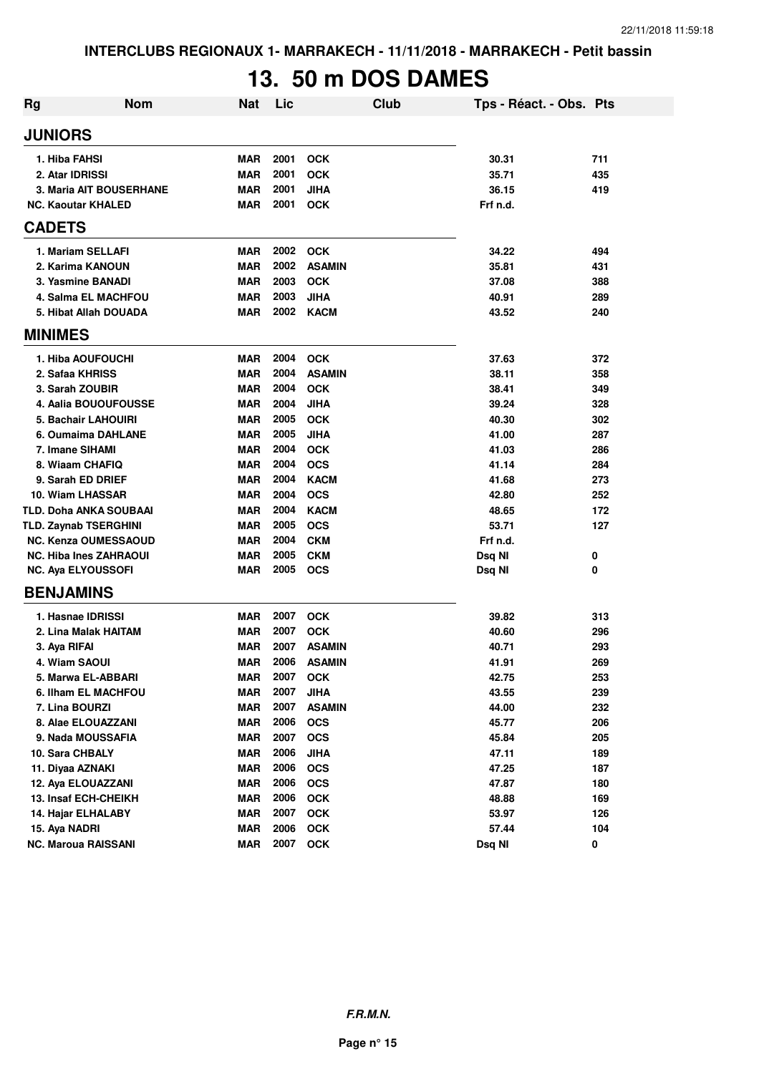# **13. 50 m DOS DAMES**

| Rg             | <b>Nom</b>                     | <b>Nat</b> | Lic  | Club          | Tps - Réact. - Obs. Pts |     |
|----------------|--------------------------------|------------|------|---------------|-------------------------|-----|
| <b>JUNIORS</b> |                                |            |      |               |                         |     |
|                | 1. Hiba FAHSI                  | <b>MAR</b> | 2001 | <b>OCK</b>    | 30.31                   | 711 |
|                | 2. Atar IDRISSI                | <b>MAR</b> | 2001 | <b>OCK</b>    | 35.71                   | 435 |
|                | <b>3. Maria AIT BOUSERHANE</b> | <b>MAR</b> | 2001 | <b>JIHA</b>   | 36.15                   | 419 |
|                | <b>NC. Kaoutar KHALED</b>      | <b>MAR</b> | 2001 | <b>OCK</b>    | Frf n.d.                |     |
| <b>CADETS</b>  |                                |            |      |               |                         |     |
|                | 1. Mariam SELLAFI              | <b>MAR</b> | 2002 | <b>OCK</b>    | 34.22                   | 494 |
|                | 2. Karima KANOUN               | <b>MAR</b> | 2002 | <b>ASAMIN</b> | 35.81                   | 431 |
|                | 3. Yasmine BANADI              | <b>MAR</b> | 2003 | <b>OCK</b>    | 37.08                   | 388 |
|                | 4. Salma EL MACHFOU            | <b>MAR</b> | 2003 | <b>JIHA</b>   | 40.91                   | 289 |
|                | 5. Hibat Allah DOUADA          | <b>MAR</b> | 2002 | <b>KACM</b>   | 43.52                   | 240 |
| <b>MINIMES</b> |                                |            |      |               |                         |     |
|                | 1. Hiba AOUFOUCHI              | <b>MAR</b> | 2004 | <b>OCK</b>    | 37.63                   | 372 |
|                | 2. Safaa KHRISS                | <b>MAR</b> | 2004 | <b>ASAMIN</b> | 38.11                   | 358 |
|                | 3. Sarah ZOUBIR                | <b>MAR</b> | 2004 | <b>OCK</b>    | 38.41                   | 349 |
|                | 4. Aalia BOUOUFOUSSE           | <b>MAR</b> | 2004 | <b>JIHA</b>   | 39.24                   | 328 |
|                | 5. Bachair LAHOUIRI            | <b>MAR</b> | 2005 | <b>OCK</b>    | 40.30                   | 302 |
|                | 6. Oumaima DAHLANE             | <b>MAR</b> | 2005 | <b>JIHA</b>   | 41.00                   | 287 |
|                | 7. Imane SIHAMI                | <b>MAR</b> | 2004 | <b>OCK</b>    | 41.03                   | 286 |
|                | 8. Wiaam CHAFIQ                | <b>MAR</b> | 2004 | <b>OCS</b>    | 41.14                   | 284 |
|                | 9. Sarah ED DRIEF              | <b>MAR</b> | 2004 | <b>KACM</b>   | 41.68                   | 273 |
|                | 10. Wiam LHASSAR               | <b>MAR</b> | 2004 | <b>OCS</b>    | 42.80                   | 252 |
|                | <b>TLD. Doha ANKA SOUBAAI</b>  | <b>MAR</b> | 2004 | <b>KACM</b>   | 48.65                   | 172 |
|                | <b>TLD. Zaynab TSERGHINI</b>   | <b>MAR</b> | 2005 | <b>OCS</b>    | 53.71                   | 127 |
|                | <b>NC. Kenza OUMESSAOUD</b>    | <b>MAR</b> | 2004 | <b>CKM</b>    | Frf n.d.                |     |
|                | <b>NC. Hiba Ines ZAHRAOUI</b>  | <b>MAR</b> | 2005 | <b>CKM</b>    | Dsq NI                  | 0   |
|                | <b>NC. Aya ELYOUSSOFI</b>      | <b>MAR</b> | 2005 | <b>OCS</b>    | Dsq NI                  | 0   |
|                | <b>BENJAMINS</b>               |            |      |               |                         |     |
|                | 1. Hasnae IDRISSI              | <b>MAR</b> | 2007 | <b>OCK</b>    | 39.82                   | 313 |
|                | 2. Lina Malak HAITAM           | <b>MAR</b> | 2007 | <b>OCK</b>    | 40.60                   | 296 |
|                | 3. Aya RIFAI                   | <b>MAR</b> | 2007 | <b>ASAMIN</b> | 40.71                   | 293 |
|                | 4. Wiam SAOUI                  | <b>MAR</b> | 2006 | <b>ASAMIN</b> | 41.91                   | 269 |
|                | 5. Marwa EL-ABBARI             | MAR        | 2007 | <b>OCK</b>    | 42.75                   | 253 |
|                | 6. Ilham EL MACHFOU            | <b>MAR</b> | 2007 | <b>JIHA</b>   | 43.55                   | 239 |
|                | 7. Lina BOURZI                 | <b>MAR</b> | 2007 | <b>ASAMIN</b> | 44.00                   | 232 |
|                | 8. Alae ELOUAZZANI             | <b>MAR</b> | 2006 | <b>OCS</b>    | 45.77                   | 206 |
|                | 9. Nada MOUSSAFIA              | <b>MAR</b> | 2007 | <b>OCS</b>    | 45.84                   | 205 |
|                | 10. Sara CHBALY                | <b>MAR</b> | 2006 | <b>JIHA</b>   | 47.11                   | 189 |
|                | 11. Diyaa AZNAKI               | <b>MAR</b> | 2006 | <b>OCS</b>    | 47.25                   | 187 |
|                | 12. Aya ELOUAZZANI             | <b>MAR</b> | 2006 | <b>OCS</b>    | 47.87                   | 180 |
|                | 13. Insaf ECH-CHEIKH           | <b>MAR</b> | 2006 | OCK           | 48.88                   | 169 |
|                | 14. Hajar ELHALABY             | <b>MAR</b> | 2007 | OCK           | 53.97                   | 126 |
|                | 15. Aya NADRI                  | <b>MAR</b> | 2006 | <b>OCK</b>    | 57.44                   | 104 |
|                | <b>NC. Maroua RAISSANI</b>     | <b>MAR</b> | 2007 | <b>OCK</b>    | Dsq NI                  | 0   |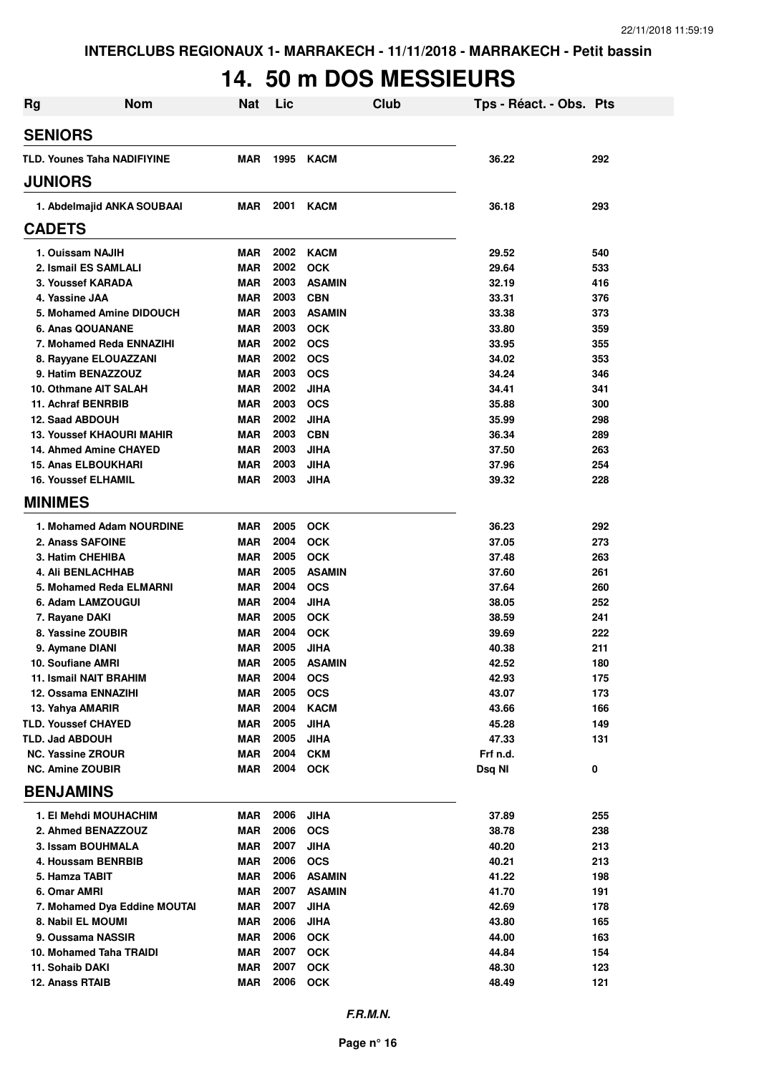# **14. 50 m DOS MESSIEURS**

| <b>Rg</b>                                                | <b>Nom</b>                       | <b>Nat</b>               | Lic          |                            | <b>Club</b> | Tps - Réact. - Obs. Pts |            |
|----------------------------------------------------------|----------------------------------|--------------------------|--------------|----------------------------|-------------|-------------------------|------------|
| <b>SENIORS</b>                                           |                                  |                          |              |                            |             |                         |            |
|                                                          | TLD. Younes Taha NADIFIYINE      | <b>MAR</b>               | 1995         | <b>KACM</b>                |             | 36.22                   | 292        |
| <b>JUNIORS</b>                                           |                                  |                          |              |                            |             |                         |            |
|                                                          | 1. Abdelmajid ANKA SOUBAAI       | MAR                      | 2001         | <b>KACM</b>                |             | 36.18                   | 293        |
| <b>CADETS</b>                                            |                                  |                          |              |                            |             |                         |            |
| 1. Ouissam NAJIH                                         |                                  | MAR                      | 2002         | <b>KACM</b>                |             | 29.52                   | 540        |
| 2. Ismail ES SAMLALI                                     |                                  | <b>MAR</b>               | 2002         | <b>OCK</b>                 |             | 29.64                   | 533        |
| 3. Youssef KARADA                                        |                                  | <b>MAR</b>               | 2003         | <b>ASAMIN</b>              |             | 32.19                   | 416        |
| 4. Yassine JAA                                           |                                  | <b>MAR</b>               | 2003         | <b>CBN</b>                 |             | 33.31                   | 376        |
|                                                          | 5. Mohamed Amine DIDOUCH         | <b>MAR</b>               | 2003         | <b>ASAMIN</b>              |             | 33.38                   | 373        |
| 6. Anas QOUANANE                                         |                                  | <b>MAR</b>               | 2003         | <b>OCK</b>                 |             | 33.80                   | 359        |
|                                                          | 7. Mohamed Reda ENNAZIHI         | <b>MAR</b>               | 2002         | <b>OCS</b>                 |             | 33.95                   | 355        |
|                                                          | 8. Rayyane ELOUAZZANI            | <b>MAR</b>               | 2002         | <b>OCS</b>                 |             | 34.02                   | 353        |
| 9. Hatim BENAZZOUZ                                       |                                  | <b>MAR</b>               | 2003         | <b>OCS</b>                 |             | 34.24                   | 346        |
|                                                          | 10. Othmane AIT SALAH            | <b>MAR</b>               | 2002         | <b>JIHA</b>                |             | 34.41                   | 341        |
| 11. Achraf BENRBIB                                       |                                  | <b>MAR</b>               | 2003         | <b>OCS</b>                 |             | 35.88                   | 300        |
| 12. Saad ABDOUH                                          |                                  | <b>MAR</b>               | 2002         | <b>JIHA</b>                |             | 35.99                   | 298        |
|                                                          | <b>13. Youssef KHAOURI MAHIR</b> | <b>MAR</b>               | 2003         | <b>CBN</b>                 |             | 36.34                   | 289        |
|                                                          | 14. Ahmed Amine CHAYED           | <b>MAR</b><br><b>MAR</b> | 2003<br>2003 | <b>JIHA</b>                |             | 37.50                   | 263<br>254 |
| <b>15. Anas ELBOUKHARI</b><br><b>16. Youssef ELHAMIL</b> |                                  | <b>MAR</b>               | 2003         | <b>JIHA</b><br><b>JIHA</b> |             | 37.96<br>39.32          | 228        |
| <b>MINIMES</b>                                           |                                  |                          |              |                            |             |                         |            |
|                                                          |                                  |                          |              |                            |             |                         |            |
|                                                          | 1. Mohamed Adam NOURDINE         | <b>MAR</b>               | 2005         | <b>OCK</b>                 |             | 36.23                   | 292        |
| 2. Anass SAFOINE                                         |                                  | <b>MAR</b>               | 2004         | <b>OCK</b>                 |             | 37.05                   | 273        |
| 3. Hatim CHEHIBA                                         |                                  | <b>MAR</b>               | 2005         | <b>OCK</b>                 |             | 37.48                   | 263        |
| <b>4. Ali BENLACHHAB</b>                                 |                                  | <b>MAR</b>               | 2005         | <b>ASAMIN</b>              |             | 37.60                   | 261        |
|                                                          | 5. Mohamed Reda ELMARNI          | <b>MAR</b><br><b>MAR</b> | 2004<br>2004 | <b>OCS</b>                 |             | 37.64                   | 260<br>252 |
| 6. Adam LAMZOUGUI                                        |                                  | <b>MAR</b>               | 2005         | <b>JIHA</b><br><b>OCK</b>  |             | 38.05<br>38.59          | 241        |
| 7. Rayane DAKI<br>8. Yassine ZOUBIR                      |                                  | <b>MAR</b>               | 2004         | <b>OCK</b>                 |             | 39.69                   | 222        |
| 9. Aymane DIANI                                          |                                  | <b>MAR</b>               | 2005         | <b>JIHA</b>                |             | 40.38                   | 211        |
| 10. Soufiane AMRI                                        |                                  | <b>MAR</b>               | 2005         | <b>ASAMIN</b>              |             | 42.52                   | 180        |
| <b>11. Ismail NAIT BRAHIM</b>                            |                                  | MAR                      | 2004         | <b>OCS</b>                 |             | 42.93                   | 175        |
| 12. Ossama ENNAZIHI                                      |                                  | <b>MAR</b>               | 2005         | <b>OCS</b>                 |             | 43.07                   | 173        |
| 13. Yahya AMARIR                                         |                                  | <b>MAR</b>               | 2004         | <b>KACM</b>                |             | 43.66                   | 166        |
| <b>TLD. Youssef CHAYED</b>                               |                                  | MAR                      | 2005         | <b>JIHA</b>                |             | 45.28                   | 149        |
| TLD. Jad ABDOUH                                          |                                  | <b>MAR</b>               | 2005         | <b>JIHA</b>                |             | 47.33                   | 131        |
| <b>NC. Yassine ZROUR</b>                                 |                                  | <b>MAR</b>               | 2004         | <b>CKM</b>                 |             | Frf n.d.                |            |
| <b>NC. Amine ZOUBIR</b>                                  |                                  | <b>MAR</b>               | 2004         | <b>OCK</b>                 |             | Dsq NI                  | 0          |
| <b>BENJAMINS</b>                                         |                                  |                          |              |                            |             |                         |            |
|                                                          | 1. El Mehdi MOUHACHIM            | MAR                      | 2006         | <b>JIHA</b>                |             | 37.89                   | 255        |
|                                                          | 2. Ahmed BENAZZOUZ               | <b>MAR</b>               | 2006         | <b>OCS</b>                 |             | 38.78                   | 238        |
| 3. Issam BOUHMALA                                        |                                  | <b>MAR</b>               | 2007         | <b>JIHA</b>                |             | 40.20                   | 213        |
|                                                          | 4. Houssam BENRBIB               | <b>MAR</b>               | 2006         | <b>OCS</b>                 |             | 40.21                   | 213        |
| 5. Hamza TABIT                                           |                                  | <b>MAR</b>               | 2006         | <b>ASAMIN</b>              |             | 41.22                   | 198        |
| 6. Omar AMRI                                             |                                  | <b>MAR</b>               | 2007         | <b>ASAMIN</b>              |             | 41.70                   | 191        |
|                                                          | 7. Mohamed Dya Eddine MOUTAI     | <b>MAR</b>               | 2007         | <b>JIHA</b>                |             | 42.69                   | 178        |
| 8. Nabil EL MOUMI                                        |                                  | <b>MAR</b>               | 2006         | <b>JIHA</b>                |             | 43.80                   | 165        |
| 9. Oussama NASSIR                                        |                                  | <b>MAR</b>               | 2006         | <b>OCK</b>                 |             | 44.00                   | 163        |
|                                                          | 10. Mohamed Taha TRAIDI          | <b>MAR</b>               | 2007         | <b>OCK</b>                 |             | 44.84                   | 154        |
| 11. Sohaib DAKI                                          |                                  | <b>MAR</b>               | 2007         | <b>OCK</b>                 |             | 48.30                   | 123        |
| 12. Anass RTAIB                                          |                                  | <b>MAR</b>               | 2006         | <b>OCK</b>                 |             | 48.49                   | 121        |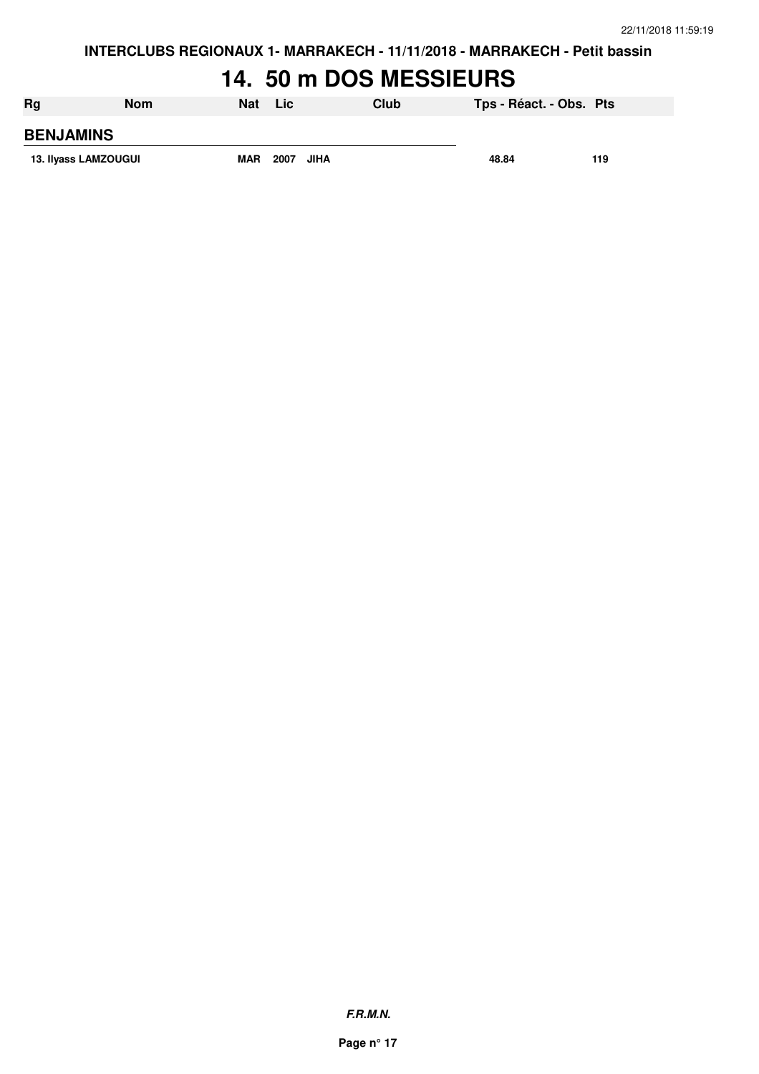#### **14. 50 m DOS MESSIEURS**

| Rg                   | <b>Nom</b> | <b>Nat</b> | Lic  |      | Club | Tps - Réact. - Obs. Pts |     |
|----------------------|------------|------------|------|------|------|-------------------------|-----|
| <b>BENJAMINS</b>     |            |            |      |      |      |                         |     |
| 13. Ilyass LAMZOUGUI |            | <b>MAR</b> | 2007 | JIHA |      | 48.84                   | 119 |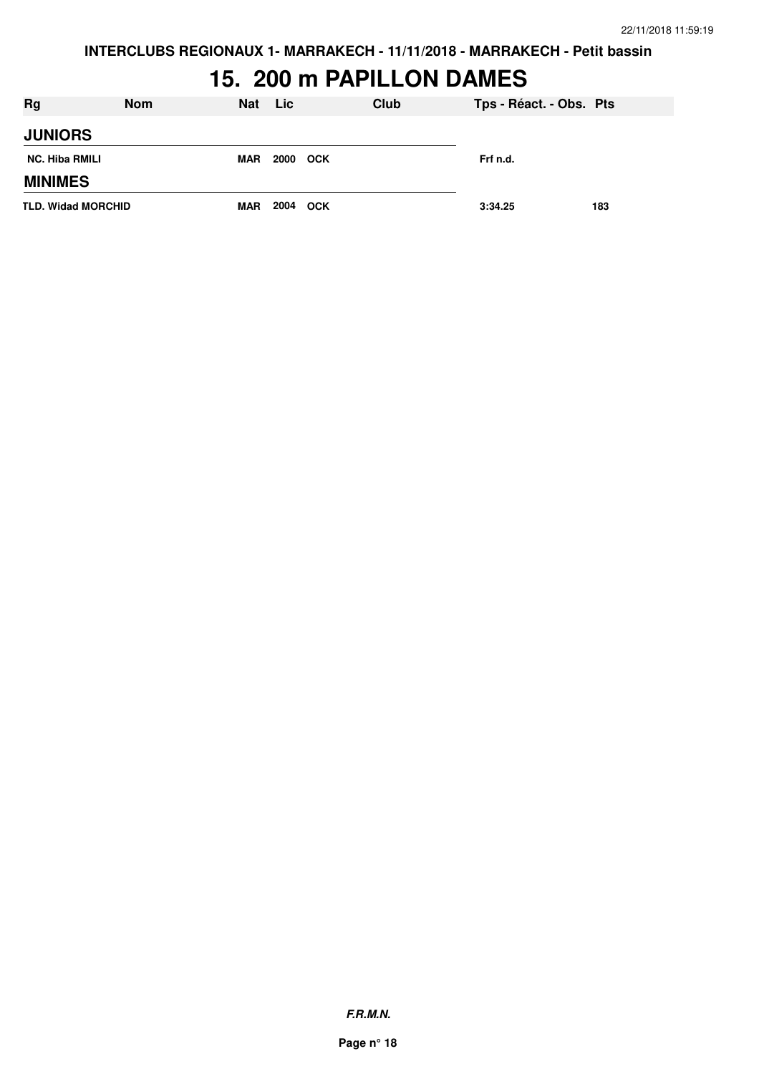**INTERCLUBS REGIONAUX 1- MARRAKECH - 11/11/2018 - MARRAKECH - Petit bassin**

# **15. 200 m PAPILLON DAMES**

| Rg                        | <b>Nom</b> | Nat Lic    |          | <b>Club</b> | Tps - Réact. - Obs. Pts |     |
|---------------------------|------------|------------|----------|-------------|-------------------------|-----|
| <b>JUNIORS</b>            |            |            |          |             |                         |     |
| <b>NC. Hiba RMILI</b>     |            | <b>MAR</b> | 2000 OCK |             | Frf n.d.                |     |
| <b>MINIMES</b>            |            |            |          |             |                         |     |
| <b>TLD. Widad MORCHID</b> |            | <b>MAR</b> | 2004 OCK |             | 3:34.25                 | 183 |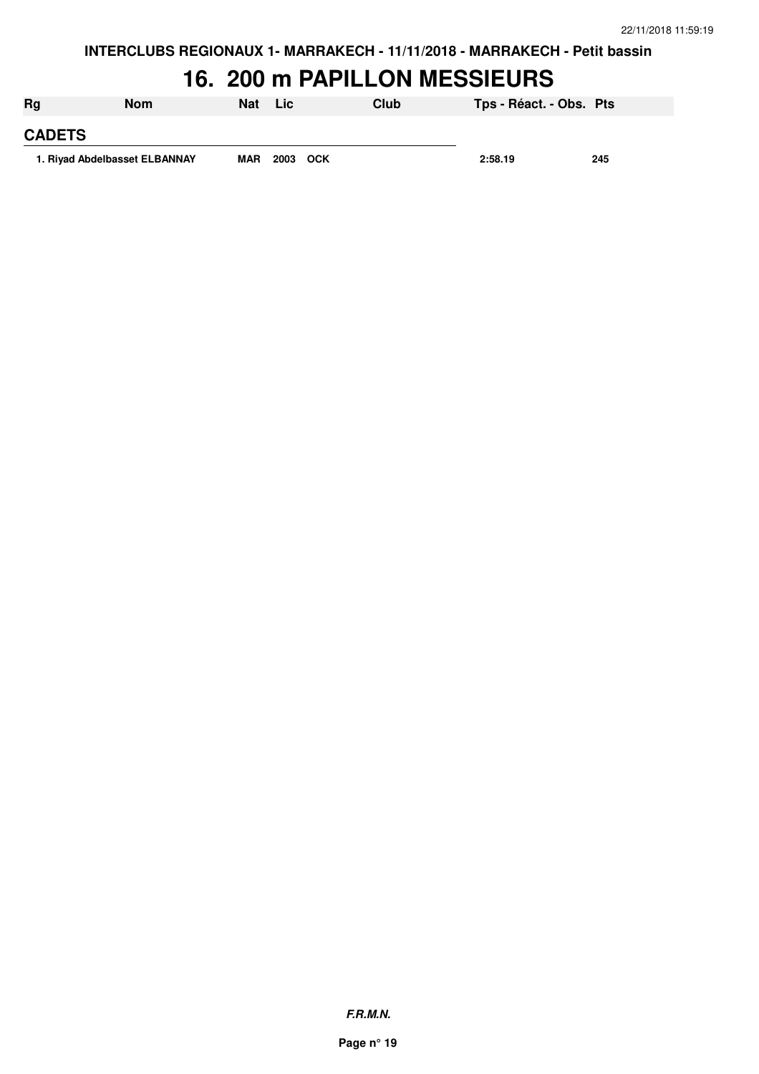#### **16. 200 m PAPILLON MESSIEURS**

| 1. Rivad Abdelbasset ELBANNAY |            | <b>MAR</b> | 2003 OCK |      | 2:58.19                 | 245 |
|-------------------------------|------------|------------|----------|------|-------------------------|-----|
| <b>CADETS</b>                 |            |            |          |      |                         |     |
| Rg                            | <b>Nom</b> | Nat        | NLic∖    | Club | Tps - Réact. - Obs. Pts |     |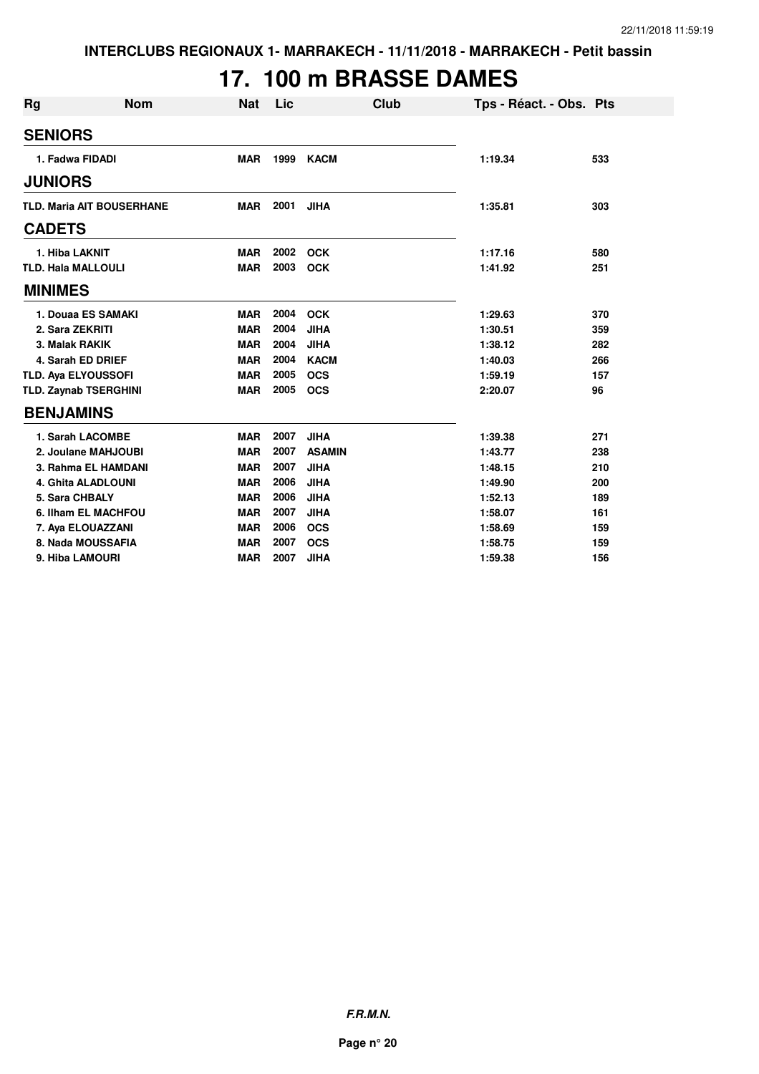# **17. 100 m BRASSE DAMES**

| <b>Rg</b>     | <b>Nom</b>                       | <b>Nat</b> | Lic  | Club          | Tps - Réact. - Obs. Pts |     |
|---------------|----------------------------------|------------|------|---------------|-------------------------|-----|
|               | <b>SENIORS</b>                   |            |      |               |                         |     |
|               | 1. Fadwa FIDADI                  | <b>MAR</b> | 1999 | <b>KACM</b>   | 1:19.34                 | 533 |
|               | <b>JUNIORS</b>                   |            |      |               |                         |     |
|               | <b>TLD. Maria AIT BOUSERHANE</b> | <b>MAR</b> | 2001 | <b>JIHA</b>   | 1:35.81                 | 303 |
| <b>CADETS</b> |                                  |            |      |               |                         |     |
|               | 1. Hiba LAKNIT                   | <b>MAR</b> | 2002 | <b>OCK</b>    | 1:17.16                 | 580 |
|               | <b>TLD. Hala MALLOULI</b>        | <b>MAR</b> | 2003 | <b>OCK</b>    | 1:41.92                 | 251 |
|               | <b>MINIMES</b>                   |            |      |               |                         |     |
|               | 1. Douaa ES SAMAKI               | <b>MAR</b> | 2004 | <b>OCK</b>    | 1:29.63                 | 370 |
|               | 2. Sara ZEKRITI                  | <b>MAR</b> | 2004 | <b>JIHA</b>   | 1:30.51                 | 359 |
|               | 3. Malak RAKIK                   | <b>MAR</b> | 2004 | <b>JIHA</b>   | 1:38.12                 | 282 |
|               | 4. Sarah ED DRIEF                | <b>MAR</b> | 2004 | <b>KACM</b>   | 1:40.03                 | 266 |
|               | <b>TLD. Aya ELYOUSSOFI</b>       | <b>MAR</b> | 2005 | <b>OCS</b>    | 1:59.19                 | 157 |
|               | <b>TLD. Zaynab TSERGHINI</b>     | <b>MAR</b> | 2005 | <b>OCS</b>    | 2:20.07                 | 96  |
|               | <b>BENJAMINS</b>                 |            |      |               |                         |     |
|               | 1. Sarah LACOMBE                 | <b>MAR</b> | 2007 | <b>JIHA</b>   | 1:39.38                 | 271 |
|               | 2. Joulane MAHJOUBI              | <b>MAR</b> | 2007 | <b>ASAMIN</b> | 1:43.77                 | 238 |
|               | 3. Rahma EL HAMDANI              | <b>MAR</b> | 2007 | <b>JIHA</b>   | 1:48.15                 | 210 |
|               | 4. Ghita ALADLOUNI               | <b>MAR</b> | 2006 | <b>JIHA</b>   | 1:49.90                 | 200 |
|               | 5. Sara CHBALY                   | <b>MAR</b> | 2006 | <b>JIHA</b>   | 1:52.13                 | 189 |
|               | 6. Ilham EL MACHFOU              | <b>MAR</b> | 2007 | <b>JIHA</b>   | 1:58.07                 | 161 |
|               | 7. Aya ELOUAZZANI                | <b>MAR</b> | 2006 | <b>OCS</b>    | 1:58.69                 | 159 |
|               | 8. Nada MOUSSAFIA                | <b>MAR</b> | 2007 | <b>OCS</b>    | 1:58.75                 | 159 |
|               | 9. Hiba LAMOURI                  | <b>MAR</b> | 2007 | <b>JIHA</b>   | 1:59.38                 | 156 |